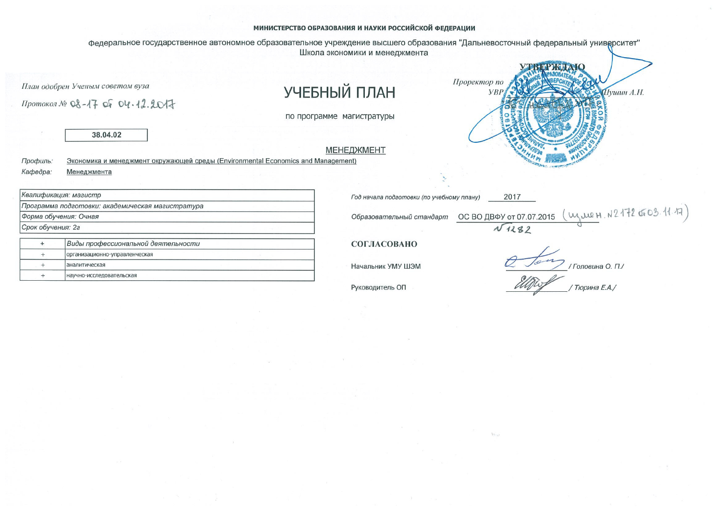## МИНИСТЕРСТВО ОБРАЗОВАНИЯ И НАУКИ РОССИЙСКОЙ ФЕДЕРАЦИИ

федеральное государственное автономное образовательное учреждение высшего образования "Дальневосточный федеральный университет" Школа экономики и менеджмента

## УЧЕБНЫЙ ПЛАН

по программе магистратуры

**МЕНЕДЖМЕНТ** 

38.04.02

План одобрен Ученым советом вуза

Протокол № 08-17 06 04.12.2017

Экономика и менеджмент окружающей среды (Environmental Economics and Management) Профиль: Кафедра: Менеджмента

|                   | Квалификация: магистр                            | Год на |
|-------------------|--------------------------------------------------|--------|
|                   | Программа подготовки: академическая магистратура |        |
|                   | Форма обучения: Очная                            | Обра.  |
| Срок обучения: 2г |                                                  |        |
|                   | Виды профессиональной деятельности               | COL.   |
|                   | организационно-управленческая                    |        |

| Виды профессиональной деятельности |  |
|------------------------------------|--|
| организационно-управленческая      |  |
| Іаналитическая                     |  |
| Інаучно-исследовательская          |  |

ачала подготовки (по учебному плану) 2017 OC BO ABOY OT 07.07.2015 (WWEH. N2172 0603. 11.17) зовательный стандарт  $\sqrt{1282}$ 

Проректор по

**VBP** 

ЛАСОВАНО

Начальник УМУ ШЭМ

Руководитель ОП

/Головина О. П./ Тюрина Е.А./

**Пушин А.Н.**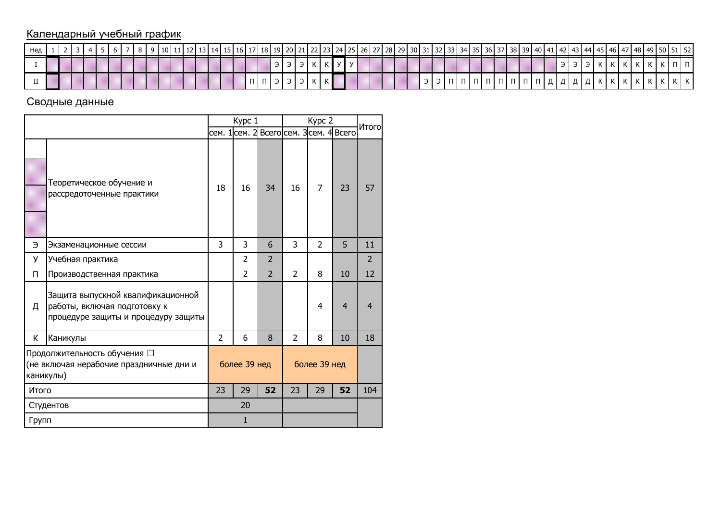## Календарный учебный график

| Нед |  |  |  |  |  | 10 L 11 |  |  |  |  |  |  |  |  |  |  |  | 11   12   13   14   15   16   17   18   19   20   21   22   23   24   25   26   27   28   29   30   31   32   33   34   35   36   37   38   39   40   41   42   43   44   45   46   47   48   49   50 |  |  |  |  |   |  |  |                         |  |  |  |
|-----|--|--|--|--|--|---------|--|--|--|--|--|--|--|--|--|--|--|-------------------------------------------------------------------------------------------------------------------------------------------------------------------------------------------------------|--|--|--|--|---|--|--|-------------------------|--|--|--|
|     |  |  |  |  |  |         |  |  |  |  |  |  |  |  |  |  |  |                                                                                                                                                                                                       |  |  |  |  |   |  |  | $\overline{\mathbf{v}}$ |  |  |  |
|     |  |  |  |  |  |         |  |  |  |  |  |  |  |  |  |  |  |                                                                                                                                                                                                       |  |  |  |  | . |  |  |                         |  |  |  |

## Сводные данные

|           |                                                                                                          |                | Kypc 1                                  |                |                | Kypc 2         |                | Итого          |
|-----------|----------------------------------------------------------------------------------------------------------|----------------|-----------------------------------------|----------------|----------------|----------------|----------------|----------------|
|           |                                                                                                          |                | сем. 1 сем. 2 Всего сем. 3 сем. 4 Всего |                |                |                |                |                |
|           | Теоретическое обучение и<br>рассредоточенные практики                                                    | 18             | 16                                      | 34             | 16             | $\overline{7}$ | 23             | 57             |
| Э         | Экзаменационные сессии                                                                                   | 3              | 3                                       | 6              | 3              | $\overline{2}$ | 5              | 11             |
| У         | Учебная практика                                                                                         |                | $\overline{2}$                          | $\overline{2}$ |                |                |                | $\overline{2}$ |
| п         | Производственная практика                                                                                |                | $\overline{2}$                          | $\overline{2}$ | $\overline{2}$ | 8              | 10             | 12             |
| д         | Защита выпускной квалификационной<br>работы, включая подготовку к<br>процедуре защиты и процедуру защиты |                |                                         |                |                | 4              | $\overline{4}$ | $\overline{4}$ |
| К         | Каникулы                                                                                                 | $\mathfrak{D}$ | 6                                       | 8              | 2              | 8              | 10             | 18             |
| каникулы) | Продолжительность обучения □<br>(не включая нерабочие праздничные дни и                                  |                | более 39 нед                            |                |                | более 39 нед   |                |                |
| Итого     |                                                                                                          | 23             | 29                                      | 52             | 23             | 29             | 52             | 104            |
|           | Студентов                                                                                                |                | 20                                      |                |                |                |                |                |
| Групп     |                                                                                                          |                | $\mathbf{1}$                            |                |                |                |                |                |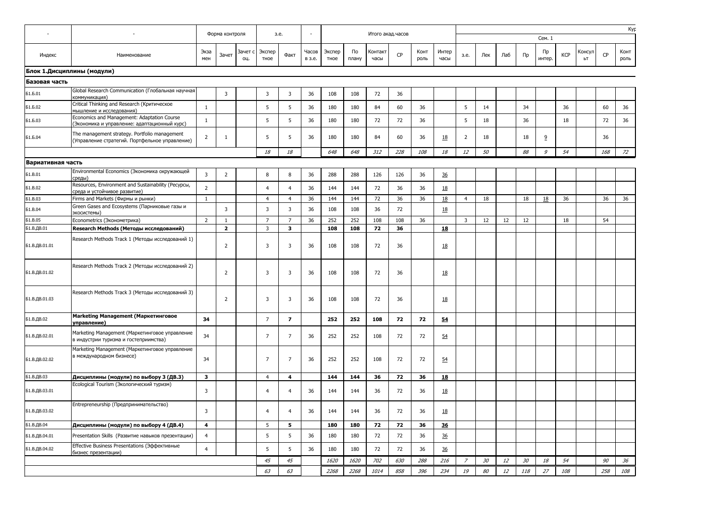|                   |                                                                                                                                                 | Форма контроля          |                | 3.e.           |                |                         |                 | Итого акад.часов |             |                 |     |              |               |                |     |      |     |              |            | Kyp          |           |              |
|-------------------|-------------------------------------------------------------------------------------------------------------------------------------------------|-------------------------|----------------|----------------|----------------|-------------------------|-----------------|------------------|-------------|-----------------|-----|--------------|---------------|----------------|-----|------|-----|--------------|------------|--------------|-----------|--------------|
|                   |                                                                                                                                                 |                         |                |                |                |                         |                 |                  |             |                 |     |              |               |                |     |      |     | Сем. 1       |            |              |           |              |
| Индекс            | Наименование                                                                                                                                    | Экза<br>мен             | Зачет          | Зачет с<br>ΟЦ. | Экспер<br>тное | Факт                    | Часов<br>в з.е. | Экспер<br>тное   | По<br>плану | Контакт<br>часы | CP  | Конт<br>роль | Интер<br>часы | 3.e.           | Лек | Лаб  | Пp  | Пp<br>интер. | <b>KCP</b> | Консул<br>ЬΤ | <b>CP</b> | Конт<br>роль |
|                   | Блок 1.Дисциплины (модули)                                                                                                                      |                         |                |                |                |                         |                 |                  |             |                 |     |              |               |                |     |      |     |              |            |              |           |              |
| Базовая часть     |                                                                                                                                                 |                         |                |                |                |                         |                 |                  |             |                 |     |              |               |                |     |      |     |              |            |              |           |              |
| <b>51.5.01</b>    | Global Research Communication (Глобальная научная                                                                                               |                         | 3              |                | $\mathbf{3}$   | 3                       | 36              | 108              | 108         | 72              | 36  |              |               |                |     |      |     |              |            |              |           |              |
| Б1.Б.02           | коммуникация)<br>Critical Thinking and Research (Критическое                                                                                    | 1                       |                |                | 5              | 5                       | 36              | 180              | 180         | 84              | 60  | 36           |               | 5              | 14  |      | 34  |              | 36         |              | 60        | 36           |
| Б1.Б.03           | мышление и исследования)<br>Economics and Management: Adaptation Course                                                                         | 1                       |                |                | 5              | 5                       | 36              | 180              | 180         | 72              | 72  | 36           |               | 5              | 18  |      | 36  |              | 18         |              | 72        | 36           |
| Б1.Б.04           | (Экономика и управление: адаптационный курс)<br>The management strategy. Portfolio management<br>(Управление стратегий. Портфельное управление) | $\overline{2}$          | $\mathbf{1}$   |                | 5              | 5                       | 36              | 180              | 180         | 84              | 60  | 36           | <u>18</u>     | $\overline{2}$ | 18  |      | 18  | 2            |            |              | 36        |              |
|                   |                                                                                                                                                 |                         |                |                | 18             | 18                      |                 | 648              | 648         | 312             | 228 | 108          | 18            | 12             | 50  |      | 88  | 9            | 54         |              | 168       | 72           |
| Вариативная часть |                                                                                                                                                 |                         |                |                |                |                         |                 |                  |             |                 |     |              |               |                |     |      |     |              |            |              |           |              |
| Б1.В.01           | Environmental Economics (Экономика окружающей<br>среды)                                                                                         | 3                       | $\overline{2}$ |                | 8              | 8                       | 36              | 288              | 288         | 126             | 126 | 36           | 36            |                |     |      |     |              |            |              |           |              |
| 61.B.02           | Resources, Environment and Sustainability (Ресурсы,<br>среда и устойчивое развитие)                                                             | $\overline{2}$          |                |                | 4              | 4                       | 36              | 144              | 144         | 72              | 36  | 36           | 18            |                |     |      |     |              |            |              |           |              |
| <b>Б1.В.03</b>    | Firms and Markets (Фирмы и рынки)                                                                                                               | $\overline{1}$          |                |                | $\overline{4}$ | $\overline{4}$          | 36              | 144              | 144         | 72              | 36  | 36           | 18            | $\overline{4}$ | 18  |      | 18  | 18           | 36         |              | 36        | 36           |
| 61.B.04           | Green Gases and Ecosystems (Парниковые газы и<br>экосистемы)                                                                                    |                         | 3              |                | 3              | 3                       | 36              | 108              | 108         | 36              | 72  |              | 18            |                |     |      |     |              |            |              |           |              |
| <b>51.B.05</b>    | Econometrics (Эконометрика)                                                                                                                     | $\overline{2}$          | $\mathbf{1}$   |                | $\overline{7}$ | $\overline{7}$          | 36              | 252              | 252         | 108             | 108 | 36           |               | $\overline{3}$ | 12  | 12   | 12  |              | 18         |              | 54        |              |
| Б1.В.ДВ.01        | Research Methods (Методы исследований)                                                                                                          |                         | $\overline{2}$ |                | $\overline{3}$ | $\overline{\mathbf{3}}$ |                 | 108              | 108         | 72              | 36  |              | 18            |                |     |      |     |              |            |              |           |              |
| Б1.В.ДВ.01.01     | Research Methods Track 1 (Методы исследований 1)                                                                                                |                         | 2              |                | 3              | 3                       | 36              | 108              | 108         | 72              | 36  |              | <u>18</u>     |                |     |      |     |              |            |              |           |              |
| Б1.В.ДВ.01.02     | Research Methods Track 2 (Методы исследований 2)                                                                                                |                         | 2              |                | 3              | 3                       | 36              | 108              | 108         | 72              | 36  |              | <u>18</u>     |                |     |      |     |              |            |              |           |              |
| Б1.В.ДВ.01.03     | Research Methods Track 3 (Методы исследований 3)                                                                                                |                         | $\overline{2}$ |                | 3              | 3                       | 36              | 108              | 108         | 72              | 36  |              | <u>18</u>     |                |     |      |     |              |            |              |           |              |
| Б1.В.ДВ.02        | Marketing Management (Маркетинговое<br>управление)                                                                                              | 34                      |                |                | $\overline{7}$ | $\overline{\mathbf{z}}$ |                 | 252              | 252         | 108             | 72  | 72           | 54            |                |     |      |     |              |            |              |           |              |
| Б1.В.ДВ.02.01     | Marketing Management (Маркетинговое управление<br>в индустрии туризма и гостеприимства)                                                         | 34                      |                |                | $\overline{7}$ | $\overline{7}$          | 36              | 252              | 252         | 108             | 72  | 72           | 54            |                |     |      |     |              |            |              |           |              |
| Б1.В.ДВ.02.02     | Marketing Management (Маркетинговое управление<br>в международном бизнесе)                                                                      | 34                      |                |                | $\overline{7}$ | $\overline{7}$          | 36              | 252              | 252         | 108             | 72  | 72           | 54            |                |     |      |     |              |            |              |           |              |
| Б1.В.ДВ.03        | Дисциплины (модули) по выбору 3 (ДВ.3)                                                                                                          | 3                       |                |                | $\overline{4}$ | $\overline{\mathbf{4}}$ |                 | 144              | 144         | 36              | 72  | 36           | 18            |                |     |      |     |              |            |              |           |              |
| Б1.В.ДВ.03.01     | Ecological Tourism (Экологический туризм)                                                                                                       | 3                       |                |                | $\overline{4}$ | 4                       | 36              | 144              | 144         | 36              | 72  | 36           | <u>18</u>     |                |     |      |     |              |            |              |           |              |
| Б1.В.ДВ.03.02     | Entrepreneurship (Предпринимательство)                                                                                                          | 3                       |                |                | 4              | 4                       | 36              | 144              | 144         | 36              | 72  | 36           | <u>18</u>     |                |     |      |     |              |            |              |           |              |
| Б1.В.ДВ.04        | Дисциплины (модули) по выбору 4 (ДВ.4)                                                                                                          | $\overline{\mathbf{4}}$ |                |                | 5              | 5                       |                 | 180              | 180         | 72              | 72  | 36           | 36            |                |     |      |     |              |            |              |           |              |
| Б1.В.ДВ.04.01     | Presentation Skills (Развитие навыков презентации)                                                                                              | $\overline{4}$          |                |                | 5              | 5                       | 36              | 180              | 180         | 72              | 72  | 36           | 36            |                |     |      |     |              |            |              |           |              |
| Б1.В.ДВ.04.02     | Effective Business Presentations (Эффективные<br>бизнес презентации)                                                                            | $\overline{4}$          |                |                | 5              | 5                       | 36              | 180              | 180         | 72              | 72  | 36           | 36            |                |     |      |     |              |            |              |           |              |
|                   |                                                                                                                                                 |                         |                |                | 45             | 45                      |                 | 1620             | 1620        | 702             | 630 | 288          | 216           | $\overline{z}$ | 30  | $12$ | 30  | 18           | 54         |              | 90        | 36           |
|                   |                                                                                                                                                 |                         |                |                | 63             | 63                      |                 | 2268             | 2268        | 1014            | 858 | 396          | 234           | 19             | 80  | 12   | 118 | 27           | 108        |              | 258       | 108          |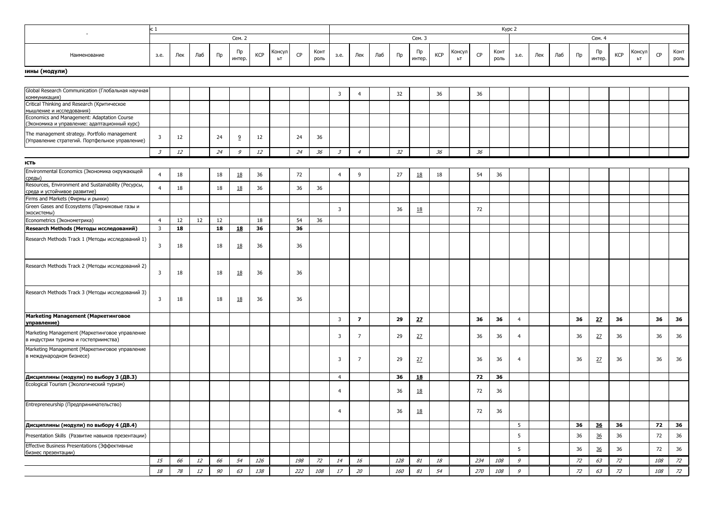|                                                                                                   | Kypc 2<br>c 1           |     |     |       |              |            |              |     |              |                             |                         |     |     |              |            |              |     |              |                |     |     |         |              |            |              |     |              |
|---------------------------------------------------------------------------------------------------|-------------------------|-----|-----|-------|--------------|------------|--------------|-----|--------------|-----------------------------|-------------------------|-----|-----|--------------|------------|--------------|-----|--------------|----------------|-----|-----|---------|--------------|------------|--------------|-----|--------------|
|                                                                                                   |                         |     |     |       | Сем. 2       |            |              |     |              |                             |                         |     |     | Сем. 3       |            |              |     |              |                |     |     |         | Сем. 4       |            |              |     |              |
| Наименование                                                                                      | 3.e.                    | Лек | Лаб | $\Pi$ | Пр<br>интер. | <b>KCP</b> | Консул<br>ЬT | CP  | Конт<br>роль | 3.e.                        | Лек                     | Лаб | Пр  | Пр<br>интер. | <b>KCP</b> | Консул<br>ЬT | CP  | Конт<br>роль | 3.e.           | Лек | Лаб | $\Pi$ p | Пр<br>интер. | <b>KCP</b> | Консул<br>ЬT | CP  | Конт<br>роль |
| іины (модули)                                                                                     |                         |     |     |       |              |            |              |     |              |                             |                         |     |     |              |            |              |     |              |                |     |     |         |              |            |              |     |              |
|                                                                                                   |                         |     |     |       |              |            |              |     |              |                             |                         |     |     |              |            |              |     |              |                |     |     |         |              |            |              |     |              |
| Global Research Communication (Глобальная научная<br>коммуникация)                                |                         |     |     |       |              |            |              |     |              | 3                           | $\overline{4}$          |     | 32  |              | 36         |              | 36  |              |                |     |     |         |              |            |              |     |              |
| Critical Thinking and Research (Критическое<br>мышление и исследования)                           |                         |     |     |       |              |            |              |     |              |                             |                         |     |     |              |            |              |     |              |                |     |     |         |              |            |              |     |              |
| Economics and Management: Adaptation Course<br>(Экономика и управление: адаптационный курс)       |                         |     |     |       |              |            |              |     |              |                             |                         |     |     |              |            |              |     |              |                |     |     |         |              |            |              |     |              |
| The management strategy. Portfolio management<br>(Управление стратегий. Портфельное управление)   | 3                       | 12  |     | 24    | 9            | 12         |              | 24  | 36           |                             |                         |     |     |              |            |              |     |              |                |     |     |         |              |            |              |     |              |
|                                                                                                   | $\mathcal{Z}$           | 12  |     | 24    | 9            | 12         |              | 24  | 36           | $\mathcal{Z}_{\mathcal{Z}}$ | $\overline{4}$          |     | 32  |              | 36         |              | 36  |              |                |     |     |         |              |            |              |     |              |
| ІСТЬ                                                                                              |                         |     |     |       |              |            |              |     |              |                             |                         |     |     |              |            |              |     |              |                |     |     |         |              |            |              |     |              |
| Environmental Economics (Экономика окружающей<br>среды)                                           | $\overline{4}$          | 18  |     | 18    | 18           | 36         |              | 72  |              | $\overline{4}$              | 9                       |     | 27  | 18           | 18         |              | 54  | 36           |                |     |     |         |              |            |              |     |              |
| Resources, Environment and Sustainability (Ресурсы,<br>среда и устойчивое развитие)               | $\overline{4}$          | 18  |     | 18    | <u>18</u>    | 36         |              | 36  | 36           |                             |                         |     |     |              |            |              |     |              |                |     |     |         |              |            |              |     |              |
| Firms and Markets (Фирмы и рынки)<br>Green Gases and Ecosystems (Парниковые газы и<br>экосистемы) |                         |     |     |       |              |            |              |     |              | 3                           |                         |     | 36  | 18           |            |              | 72  |              |                |     |     |         |              |            |              |     |              |
| Econometrics (Эконометрика)                                                                       | $\overline{4}$          | 12  | 12  | 12    |              | 18         |              | 54  | 36           |                             |                         |     |     |              |            |              |     |              |                |     |     |         |              |            |              |     |              |
| Research Methods (Методы исследований)                                                            | $\overline{\mathbf{3}}$ | 18  |     | 18    | 18           | 36         |              | 36  |              |                             |                         |     |     |              |            |              |     |              |                |     |     |         |              |            |              |     |              |
| Research Methods Track 1 (Методы исследований 1)                                                  | 3                       | 18  |     | 18    | <u>18</u>    | 36         |              | 36  |              |                             |                         |     |     |              |            |              |     |              |                |     |     |         |              |            |              |     |              |
| Research Methods Track 2 (Методы исследований 2)                                                  | 3                       | 18  |     | 18    | <u>18</u>    | 36         |              | 36  |              |                             |                         |     |     |              |            |              |     |              |                |     |     |         |              |            |              |     |              |
| Research Methods Track 3 (Методы исследований 3)                                                  | 3                       | 18  |     | 18    | <u>18</u>    | 36         |              | 36  |              |                             |                         |     |     |              |            |              |     |              |                |     |     |         |              |            |              |     |              |
| Marketing Management (Маркетинговое<br>управление)                                                |                         |     |     |       |              |            |              |     |              | $\overline{3}$              | $\overline{\mathbf{z}}$ |     | 29  | 27           |            |              | 36  | 36           | $\overline{4}$ |     |     | 36      | 27           | 36         |              | 36  | 36           |
| Marketing Management (Маркетинговое управление<br>в индустрии туризма и гостеприимства)           |                         |     |     |       |              |            |              |     |              | 3                           | $\overline{7}$          |     | 29  | 27           |            |              | 36  | 36           | $\overline{4}$ |     |     | 36      | 27           | 36         |              | 36  | 36           |
| Marketing Management (Маркетинговое управление<br>в международном бизнесе)                        |                         |     |     |       |              |            |              |     |              | 3                           | $\overline{7}$          |     | 29  | 27           |            |              | 36  | 36           | $\overline{4}$ |     |     | 36      | 27           | 36         |              | 36  | 36           |
| Дисциплины (модули) по выбору 3 (ДВ.3)                                                            |                         |     |     |       |              |            |              |     |              | $\overline{4}$              |                         |     | 36  | <u>18</u>    |            |              | 72  | 36           |                |     |     |         |              |            |              |     |              |
| Ecological Tourism (Экологический туризм)                                                         |                         |     |     |       |              |            |              |     |              | $\overline{4}$              |                         |     | 36  | 18           |            |              | 72  | 36           |                |     |     |         |              |            |              |     |              |
| Entrepreneurship (Предпринимательство)                                                            |                         |     |     |       |              |            |              |     |              | $\overline{4}$              |                         |     | 36  | <u>18</u>    |            |              | 72  | 36           |                |     |     |         |              |            |              |     |              |
| Дисциплины (модули) по выбору 4 (ДВ.4)                                                            |                         |     |     |       |              |            |              |     |              |                             |                         |     |     |              |            |              |     |              | 5              |     |     | 36      | 36           | 36         |              | 72  | 36           |
| Presentation Skills (Развитие навыков презентации)                                                |                         |     |     |       |              |            |              |     |              |                             |                         |     |     |              |            |              |     |              | 5              |     |     | 36      | 36           | 36         |              | 72  | 36           |
| Effective Business Presentations (Эффективные<br>бизнес презентации)                              |                         |     |     |       |              |            |              |     |              |                             |                         |     |     |              |            |              |     |              | 5              |     |     | 36      | 36           | 36         |              | 72  | 36           |
|                                                                                                   | 15                      | 66  | 12  | 66    | 54           | 126        |              | 198 | 72           | 14                          | 16                      |     | 128 | 81           | 18         |              | 234 | 108          | $\mathcal G$   |     |     | 72      | 63           | 72         |              | 108 | 72           |
|                                                                                                   | 18                      | 78  | 12  | 90    | 63           | 138        |              | 222 | 108          | 17                          | 20                      |     | 160 | 81           | 54         |              | 270 | 108          | $\mathcal{G}$  |     |     | 72      | 63           | 72         |              | 108 | 72           |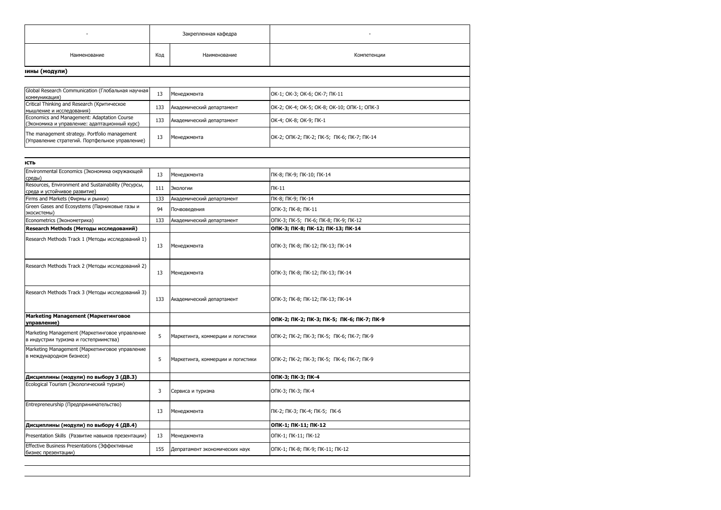|                                                                                                 |     | Закрепленная кафедра              |                                             |
|-------------------------------------------------------------------------------------------------|-----|-----------------------------------|---------------------------------------------|
| Наименование                                                                                    | Код | Наименование                      | Компетенции                                 |
| іины (модули)                                                                                   |     |                                   |                                             |
|                                                                                                 |     |                                   |                                             |
| Global Research Communication (Глобальная научная<br>коммуникация)                              | 13  | Менеджмента                       | OK-1; OK-3; OK-6; OK-7; NK-11               |
| Critical Thinking and Research (Критическое<br>мышление и исследования)                         | 133 | Академический департамент         | OK-2; OK-4; OK-5; OK-8; OK-10; ONK-1; ONK-3 |
| Economics and Management: Adaptation Course<br>(Экономика и управление: адаптационный курс)     | 133 | Академический департамент         | OK-4; OK-8; OK-9; NK-1                      |
| The management strategy. Portfolio management<br>(Управление стратегий. Портфельное управление) | 13  | Менеджмента                       | OK-2; ONK-2; NK-2; NK-5; NK-6; NK-7; NK-14  |
|                                                                                                 |     |                                   |                                             |
| ІСТЬ<br>Environmental Economics (Экономика окружающей                                           |     |                                   |                                             |
| среды)                                                                                          | 13  | Менеджмента                       | ПК-8; ПК-9; ПК-10; ПК-14                    |
| Resources, Environment and Sustainability (Ресурсы,<br>среда и устойчивое развитие)             | 111 | Экологии                          | $\Pi K-11$                                  |
| Firms and Markets (Фирмы и рынки)                                                               | 133 | Академический департамент         | ПК-8; ПК-9; ПК-14                           |
| Green Gases and Ecosystems (Парниковые газы и<br>экосистемы)                                    | 94  | Почвоведения                      | ОПК-3; ПК-8; ПК-11                          |
| Econometrics (Эконометрика)                                                                     | 133 | Академический департамент         | ОПК-3; ПК-5; ПК-6; ПК-8; ПК-9; ПК-12        |
| Research Methods (Методы исследований)                                                          |     |                                   | ОПК-3; ПК-8; ПК-12; ПК-13; ПК-14            |
| Research Methods Track 1 (Методы исследований 1)                                                | 13  | Менеджмента                       | ОПК-3; ПК-8; ПК-12; ПК-13; ПК-14            |
| Research Methods Track 2 (Методы исследований 2)                                                | 13  | Менеджмента                       | ОПК-3; ПК-8; ПК-12; ПК-13; ПК-14            |
| Research Methods Track 3 (Методы исследований 3)                                                | 133 | Академический департамент         | ОПК-3; ПК-8; ПК-12; ПК-13; ПК-14            |
| Marketing Management (Маркетинговое<br>управление)                                              |     |                                   | ОПК-2; ПК-2; ПК-3; ПК-5; ПК-6; ПК-7; ПК-9   |
| Marketing Management (Маркетинговое управление<br>в индустрии туризма и гостеприимства)         | 5   | Маркетинга, коммерции и логистики | ОПК-2; ПК-2; ПК-3; ПК-5; ПК-6; ПК-7; ПК-9   |
| Marketing Management (Маркетинговое управление<br>в международном бизнесе)                      | 5   | Маркетинга, коммерции и логистики | ОПК-2; ПК-2; ПК-3; ПК-5; ПК-6; ПК-7; ПК-9   |
| Дисциплины (модули) по выбору 3 (ДВ.3)                                                          |     |                                   | ОПК-3; ПК-3; ПК-4                           |
| Ecological Tourism (Экологический туризм)                                                       | 3   | Сервиса и туризма                 | ОПК-3; ПК-3; ПК-4                           |
| Entrepreneurship (Предпринимательство)                                                          | 13  | Менеджмента                       | ПК-2; ПК-3; ПК-4; ПК-5; ПК-6                |
|                                                                                                 |     |                                   | ОПК-1; ПК-11; ПК-12                         |
| Дисциплины (модули) по выбору 4 (ДВ.4)                                                          |     |                                   |                                             |
| Presentation Skills (Развитие навыков презентации)                                              | 13  | Менеджмента                       | ОПК-1; ПК-11; ПК-12                         |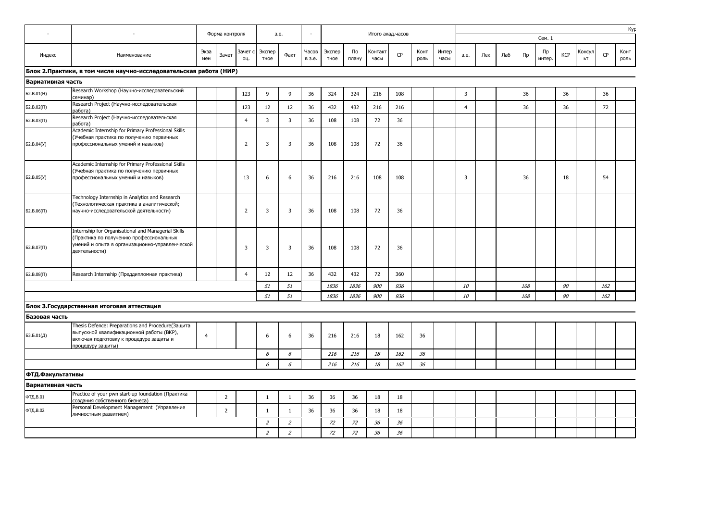| $\overline{\phantom{a}}$ | Форма контроля<br>Итого акад.часов<br>з.е.                                                                                                                        |                |                |                |                |                |                 |                |             |                 |     |              |               |                         |     |     |            |              |            |              |     | Kyp          |
|--------------------------|-------------------------------------------------------------------------------------------------------------------------------------------------------------------|----------------|----------------|----------------|----------------|----------------|-----------------|----------------|-------------|-----------------|-----|--------------|---------------|-------------------------|-----|-----|------------|--------------|------------|--------------|-----|--------------|
|                          |                                                                                                                                                                   |                |                |                |                |                |                 |                |             |                 |     |              |               |                         |     |     |            | Сем. 1       |            |              |     |              |
| Индекс                   | Наименование                                                                                                                                                      | Экза<br>мен    | Зачет          | Зачет с<br>ΟЦ. | Экспер<br>тное | Факт           | Часов<br>в з.е. | Экспер<br>тное | По<br>плану | Контакт<br>часы | CP  | Конт<br>роль | Интер<br>часы | 3.e.                    | Лек | Лаб | Пр         | Пр<br>интер. | <b>KCP</b> | Консул<br>ЬΤ | CP  | Конт<br>роль |
|                          | Блок 2. Практики, в том числе научно-исследовательская работа (НИР)                                                                                               |                |                |                |                |                |                 |                |             |                 |     |              |               |                         |     |     |            |              |            |              |     |              |
| Вариативная часть        |                                                                                                                                                                   |                |                |                |                |                |                 |                |             |                 |     |              |               |                         |     |     |            |              |            |              |     |              |
| 62.B.01(H)               | Research Workshop (Научно-исследовательский<br>семинар)                                                                                                           |                |                | 123            | 9              | 9              | 36              | 324            | 324         | 216             | 108 |              |               | 3                       |     |     | 36         |              | 36         |              | 36  |              |
| Б2.В.02(П)               | Research Project (Научно-исследовательская<br>работа)                                                                                                             |                |                | 123            | 12             | 12             | 36              | 432            | 432         | 216             | 216 |              |               | $\overline{4}$          |     |     | 36         |              | 36         |              | 72  |              |
| Б2.В.03(П)               | Research Project (Научно-исследовательская<br>работа)                                                                                                             |                |                | $\overline{4}$ | 3              | $\overline{3}$ | 36              | 108            | 108         | 72              | 36  |              |               |                         |     |     |            |              |            |              |     |              |
| Б2.В.04(У)               | Academic Internship for Primary Professional Skills<br>(Учебная практика по получению первичных<br>профессиональных умений и навыков)                             |                |                | $\overline{2}$ | 3              | $\overline{3}$ | 36              | 108            | 108         | 72              | 36  |              |               |                         |     |     |            |              |            |              |     |              |
| Б2.В.05(У)               | Academic Internship for Primary Professional Skills<br>(Учебная практика по получению первичных<br>профессиональных умений и навыков)                             |                |                | 13             | 6              | 6              | 36              | 216            | 216         | 108             | 108 |              |               | $\overline{\mathbf{3}}$ |     |     | 36         |              | 18         |              | 54  |              |
| $52.B.06(\Pi)$           | Technology Internship in Analytics and Research<br>(Технологическая практика в аналитической;<br>научно-исследовательской деятельности)                           |                |                | $\overline{2}$ | 3              | 3              | 36              | 108            | 108         | 72              | 36  |              |               |                         |     |     |            |              |            |              |     |              |
| $52.B.07(\Pi)$           | Internship for Organisational and Managerial Skills<br>(Практика по получению профессиональных<br>умений и опыта в организационно-управленческой<br>деятельности) |                |                | $\overline{3}$ | 3              | $\overline{3}$ | 36              | 108            | 108         | 72              | 36  |              |               |                         |     |     |            |              |            |              |     |              |
| Б2.В.08(П)               | Research Internship (Преддипломная практика)                                                                                                                      |                |                | $\overline{4}$ | 12             | 12             | 36              | 432            | 432         | 72              | 360 |              |               |                         |     |     |            |              |            |              |     |              |
|                          |                                                                                                                                                                   |                |                |                | 51             | 51             |                 | 1836           | 1836        | 900             | 936 |              |               | 10                      |     |     | 108        |              | 90         |              | 162 |              |
|                          |                                                                                                                                                                   |                |                |                | 51             | 51             |                 | 1836           | 1836        | 900             | 936 |              |               | 10                      |     |     | <i>108</i> |              | 90         |              | 162 |              |
|                          | Блок З.Государственная итоговая аттестация                                                                                                                        |                |                |                |                |                |                 |                |             |                 |     |              |               |                         |     |     |            |              |            |              |     |              |
| Базовая часть            |                                                                                                                                                                   |                |                |                |                |                |                 |                |             |                 |     |              |               |                         |     |     |            |              |            |              |     |              |
| 53.5.01(Д)               | Thesis Defence: Preparations and Procedure(Защита<br>выпускной квалификационной работы (ВКР),<br>включая подготовку к процедуре защиты и<br>процедуру защиты)     | $\overline{4}$ |                |                | 6              | 6              | 36              | 216            | 216         | 18              | 162 | 36           |               |                         |     |     |            |              |            |              |     |              |
|                          |                                                                                                                                                                   |                |                |                | 6              | 6              |                 | 216            | 216         | 18              | 162 | 36           |               |                         |     |     |            |              |            |              |     |              |
|                          |                                                                                                                                                                   |                |                |                | 6              | 6              |                 | 216            | 216         | 18              | 162 | 36           |               |                         |     |     |            |              |            |              |     |              |
| ФТД.Факультативы         |                                                                                                                                                                   |                |                |                |                |                |                 |                |             |                 |     |              |               |                         |     |     |            |              |            |              |     |              |
| Вариативная часть        |                                                                                                                                                                   |                |                |                |                |                |                 |                |             |                 |     |              |               |                         |     |     |            |              |            |              |     |              |
| ФТД.В.01                 | Practice of your pwn start-up foundation (Практика<br>создания собственного бизнеса)                                                                              |                | $\overline{2}$ |                | $\mathbf{1}$   | $\mathbf{1}$   | 36              | 36             | 36          | 18              | 18  |              |               |                         |     |     |            |              |            |              |     |              |
| ФТД.В.02                 | Personal Development Management (Управление<br>личностным развитием)                                                                                              |                | $\overline{2}$ |                | $\mathbf{1}$   | $\mathbf{1}$   | 36              | 36             | 36          | 18              | 18  |              |               |                         |     |     |            |              |            |              |     |              |
|                          |                                                                                                                                                                   |                |                |                | $\overline{2}$ | $\overline{2}$ |                 | 72             | 72          | 36              | 36  |              |               |                         |     |     |            |              |            |              |     |              |
|                          |                                                                                                                                                                   |                |                |                | $\overline{z}$ | $\overline{z}$ |                 | 72             | 72          | 36              | 36  |              |               |                         |     |     |            |              |            |              |     |              |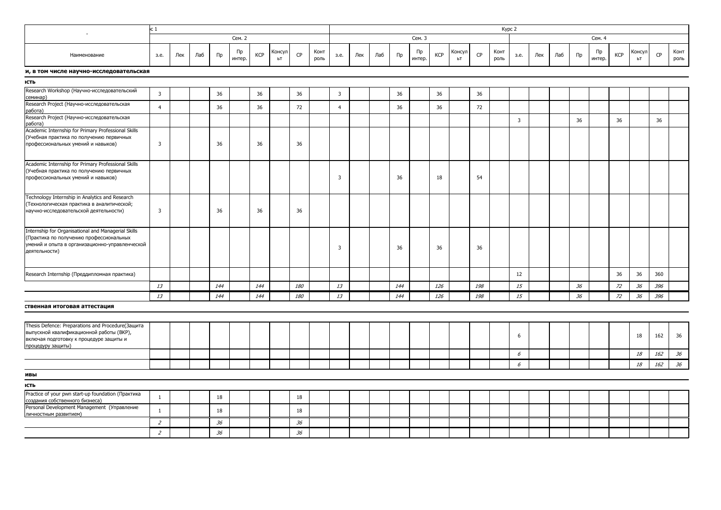| c <sub>1</sub><br>$\overline{\phantom{a}}$                                                                                                                        |                |     |     |         |              |            |              |     |              |                         |     |     |     |              |     |              |     | Kypc 2       |                |     |     |       |              |            |              |     |              |
|-------------------------------------------------------------------------------------------------------------------------------------------------------------------|----------------|-----|-----|---------|--------------|------------|--------------|-----|--------------|-------------------------|-----|-----|-----|--------------|-----|--------------|-----|--------------|----------------|-----|-----|-------|--------------|------------|--------------|-----|--------------|
|                                                                                                                                                                   |                |     |     |         | Сем. 2       |            |              |     |              |                         |     |     |     | Сем. 3       |     |              |     |              |                |     |     |       | Сем. 4       |            |              |     |              |
| Наименование                                                                                                                                                      | 3.e.           | Лек | Лаб | $\Pi$ p | Пр<br>интер. | <b>KCP</b> | Консул<br>ЬT | CP  | Конт<br>роль | 3.e.                    | Лек | Лаб | Пр  | Пр<br>интер. | KCP | Консул<br>ЬT | CP  | Конт<br>роль | 3.e.           | Лек | Лаб | $\Pi$ | Пр<br>интер. | <b>KCP</b> | Консул<br>bT | CP  | Конт<br>роль |
| и, в том числе научно-исследовательская                                                                                                                           |                |     |     |         |              |            |              |     |              |                         |     |     |     |              |     |              |     |              |                |     |     |       |              |            |              |     |              |
| ІСТЬ                                                                                                                                                              |                |     |     |         |              |            |              |     |              |                         |     |     |     |              |     |              |     |              |                |     |     |       |              |            |              |     |              |
| Research Workshop (Научно-исследовательский                                                                                                                       | $\overline{3}$ |     |     | 36      |              | 36         |              | 36  |              | $\overline{3}$          |     |     | 36  |              | 36  |              | 36  |              |                |     |     |       |              |            |              |     |              |
| семинар)<br>Research Project (Научно-исследовательская<br>работа)                                                                                                 | $\overline{4}$ |     |     | 36      |              | 36         |              | 72  |              | $\overline{4}$          |     |     | 36  |              | 36  |              | 72  |              |                |     |     |       |              |            |              |     |              |
| Research Project (Научно-исследовательская<br>работа)                                                                                                             |                |     |     |         |              |            |              |     |              |                         |     |     |     |              |     |              |     |              | $\overline{3}$ |     |     | 36    |              | 36         |              | 36  |              |
| Academic Internship for Primary Professional Skills<br>(Учебная практика по получению первичных<br>профессиональных умений и навыков)                             | $\overline{3}$ |     |     | 36      |              | 36         |              | 36  |              |                         |     |     |     |              |     |              |     |              |                |     |     |       |              |            |              |     |              |
| Academic Internship for Primary Professional Skills<br>(Учебная практика по получению первичных<br>профессиональных умений и навыков)                             |                |     |     |         |              |            |              |     |              | $\overline{\mathbf{3}}$ |     |     | 36  |              | 18  |              | 54  |              |                |     |     |       |              |            |              |     |              |
| Technology Internship in Analytics and Research<br>(Технологическая практика в аналитической;<br>научно-исследовательской деятельности)                           | $\overline{3}$ |     |     | 36      |              | 36         |              | 36  |              |                         |     |     |     |              |     |              |     |              |                |     |     |       |              |            |              |     |              |
| Internship for Organisational and Managerial Skills<br>(Практика по получению профессиональных<br>умений и опыта в организационно-управленческой<br>деятельности) |                |     |     |         |              |            |              |     |              | $\overline{\mathbf{3}}$ |     |     | 36  |              | 36  |              | 36  |              |                |     |     |       |              |            |              |     |              |
| Research Internship (Преддипломная практика)                                                                                                                      |                |     |     |         |              |            |              |     |              |                         |     |     |     |              |     |              |     |              | 12             |     |     |       |              | 36         | 36           | 360 |              |
|                                                                                                                                                                   | 13             |     |     | 144     |              | 144        |              | 180 |              | 13                      |     |     | 144 |              | 126 |              | 198 |              | 15             |     |     | 36    |              | 72         | 36           | 396 |              |
|                                                                                                                                                                   | 13             |     |     | 144     |              | 144        |              | 180 |              | 13                      |     |     | 144 |              | 126 |              | 198 |              | 15             |     |     | 36    |              | 72         | 36           | 396 |              |
| ственная итоговая аттестация                                                                                                                                      |                |     |     |         |              |            |              |     |              |                         |     |     |     |              |     |              |     |              |                |     |     |       |              |            |              |     |              |
| Thesis Defence: Preparations and Procedure(Защита<br>выпускной квалификационной работы (ВКР),<br>включая подготовку к процедуре защиты и<br>процедуру защиты)     |                |     |     |         |              |            |              |     |              |                         |     |     |     |              |     |              |     |              | 6              |     |     |       |              |            | 18           | 162 | 36           |
|                                                                                                                                                                   |                |     |     |         |              |            |              |     |              |                         |     |     |     |              |     |              |     |              | 6              |     |     |       |              |            | 18           | 162 | 36           |
|                                                                                                                                                                   |                |     |     |         |              |            |              |     |              |                         |     |     |     |              |     |              |     |              | $\epsilon$     |     |     |       |              |            | $18\,$       | 162 | 36           |
| ивы                                                                                                                                                               |                |     |     |         |              |            |              |     |              |                         |     |     |     |              |     |              |     |              |                |     |     |       |              |            |              |     |              |
| ІСТЬ                                                                                                                                                              |                |     |     |         |              |            |              |     |              |                         |     |     |     |              |     |              |     |              |                |     |     |       |              |            |              |     |              |
| Practice of your pwn start-up foundation (Практика<br>создания собственного бизнеса)                                                                              | $\mathbf{1}$   |     |     | 18      |              |            |              | 18  |              |                         |     |     |     |              |     |              |     |              |                |     |     |       |              |            |              |     |              |
| Personal Development Management (Управление<br>личностным развитием)                                                                                              | $\mathbf{1}$   |     |     | 18      |              |            |              | 18  |              |                         |     |     |     |              |     |              |     |              |                |     |     |       |              |            |              |     |              |
|                                                                                                                                                                   | $\overline{z}$ |     |     | 36      |              |            |              | 36  |              |                         |     |     |     |              |     |              |     |              |                |     |     |       |              |            |              |     |              |
|                                                                                                                                                                   | $\overline{2}$ |     |     | 36      |              |            |              | 36  |              |                         |     |     |     |              |     |              |     |              |                |     |     |       |              |            |              |     |              |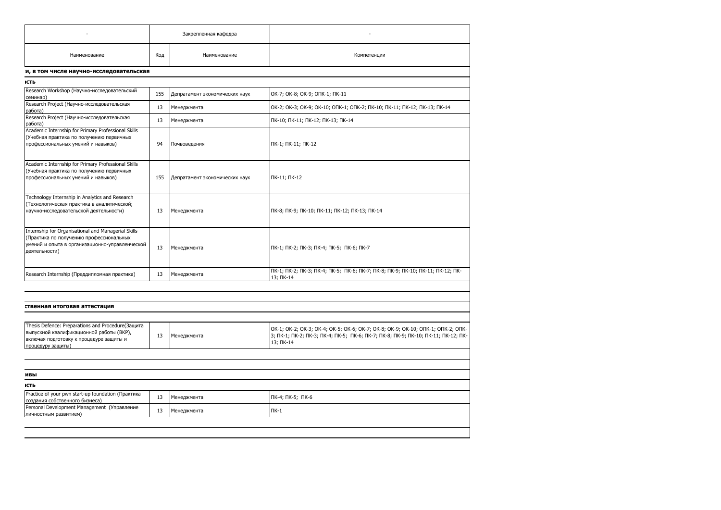|                                                                                                                                                                   |     | Закрепленная кафедра           |                                                                                                                                                                                   |
|-------------------------------------------------------------------------------------------------------------------------------------------------------------------|-----|--------------------------------|-----------------------------------------------------------------------------------------------------------------------------------------------------------------------------------|
| Наименование                                                                                                                                                      | Код | Наименование                   | Компетенции                                                                                                                                                                       |
| и, в том числе научно-исследовательская                                                                                                                           |     |                                |                                                                                                                                                                                   |
| ІСТЬ                                                                                                                                                              |     |                                |                                                                                                                                                                                   |
| Research Workshop (Научно-исследовательский<br>семинар)                                                                                                           | 155 | Депратамент экономических наук | ОК-7; ОК-8; ОК-9; ОПК-1; ПК-11                                                                                                                                                    |
| Research Project (Научно-исследовательская<br>работа)                                                                                                             | 13  | Менеджмента                    | OK-2; OK-3; OK-9; OK-10; ONK-1; ONK-2; NK-10; NK-11; NK-12; NK-13; NK-14                                                                                                          |
| Research Project (Научно-исследовательская<br>работа)                                                                                                             | 13  | Менеджмента                    | ПК-10; ПК-11; ПК-12; ПК-13; ПК-14                                                                                                                                                 |
| Academic Internship for Primary Professional Skills<br>(Учебная практика по получению первичных<br>профессиональных умений и навыков)                             | 94  | Почвоведения                   | ПК-1; ПК-11; ПК-12                                                                                                                                                                |
| Academic Internship for Primary Professional Skills<br>(Учебная практика по получению первичных<br>профессиональных умений и навыков)                             | 155 | Депратамент экономических наук | ПК-11; ПК-12                                                                                                                                                                      |
| Technology Internship in Analytics and Research<br>(Технологическая практика в аналитической;<br>научно-исследовательской деятельности)                           | 13  | Менеджмента                    | ПК-8; ПК-9; ПК-10; ПК-11; ПК-12; ПК-13; ПК-14                                                                                                                                     |
| Internship for Organisational and Managerial Skills<br>(Практика по получению профессиональных<br>умений и опыта в организационно-управленческой<br>деятельности) | 13  | Менеджмента                    | ПК-1; ПК-2; ПК-3; ПК-4; ПК-5; ПК-6; ПК-7                                                                                                                                          |
| Research Internship (Преддипломная практика)                                                                                                                      | 13  | Менеджмента                    | ПК-1; ПК-2; ПК-3; ПК-4; ПК-5; ПК-6; ПК-7; ПК-8; ПК-9; ПК-10; ПК-11; ПК-12; ПК-<br>13; ПК-14                                                                                       |
|                                                                                                                                                                   |     |                                |                                                                                                                                                                                   |
| ственная итоговая аттестация                                                                                                                                      |     |                                |                                                                                                                                                                                   |
| Thesis Defence: Preparations and Procedure(Защита<br>выпускной квалификационной работы (ВКР),<br>включая подготовку к процедуре защиты и<br>процедуру защиты)     | 13  | Менеджмента                    | OK-1; OK-2; OK-3; OK-4; OK-5; OK-6; OK-7; OK-8; OK-9; OK-10; OΠK-1; OΠK-2; OПK-<br>3; ПК-1; ПК-2; ПК-3; ПК-4; ПК-5; ПК-6; ПК-7; ПК-8; ПК-9; ПК-10; ПК-11; ПК-12; ПК-<br>13; NK-14 |
|                                                                                                                                                                   |     |                                |                                                                                                                                                                                   |
| ивы                                                                                                                                                               |     |                                |                                                                                                                                                                                   |
| ІСТЬ                                                                                                                                                              |     |                                |                                                                                                                                                                                   |
| Practice of your pwn start-up foundation (Практика                                                                                                                | 13  | Менеджмента                    | ПК-4; ПК-5; ПК-6                                                                                                                                                                  |
|                                                                                                                                                                   |     |                                |                                                                                                                                                                                   |
| создания собственного бизнеса)<br>Personal Development Management (Управление<br>личностным развитием)                                                            | 13  | Менеджмента                    | $\Pi K-1$                                                                                                                                                                         |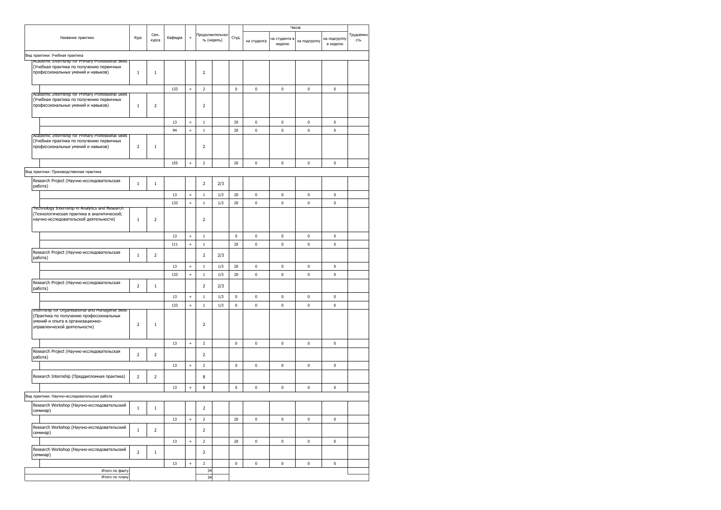|                                                                                                                                                                    |                         |                |         |                                  |                          |                                |             |             |                         | Часов        |                          |                  |
|--------------------------------------------------------------------------------------------------------------------------------------------------------------------|-------------------------|----------------|---------|----------------------------------|--------------------------|--------------------------------|-------------|-------------|-------------------------|--------------|--------------------------|------------------|
| Название практики                                                                                                                                                  | Kypc                    | Сем.<br>курса  | Кафедра | $\ddot{}$                        |                          | Продолжительнос<br>ть (недель) | Студ.       | на студента | на студента в<br>неделю | на подгруппу | на подгруппу<br>в неделю | Трудоемко<br>сть |
| Вид практики: Учебная практика                                                                                                                                     |                         |                |         |                                  |                          |                                |             |             |                         |              |                          |                  |
| Academic Internship for Primary Professional Skills<br>(Учебная практика по получению первичных<br>профессиональных умений и навыков)                              | $\,1\,$                 | $1\,$          |         |                                  | $\overline{2}$           |                                |             |             |                         |              |                          |                  |
|                                                                                                                                                                    |                         |                |         |                                  |                          |                                |             |             |                         |              |                          |                  |
| Academic Internship for Primary Professional Skills                                                                                                                |                         |                | 133     | $^{\mathrm{+}}$                  | $\overline{2}$           |                                | $\mathbf 0$ | $\pmb{0}$   | $\pmb{0}$               | 0            | $\pmb{0}$                |                  |
| (Учебная практика по получению первичных<br>профессиональных умений и навыков)                                                                                     | $\,1\,$                 | $\overline{2}$ |         |                                  | $\overline{2}$           |                                |             |             |                         |              |                          |                  |
|                                                                                                                                                                    |                         |                | 13      | $\qquad \qquad +$                | $\,1\,$                  |                                | 20          | $\pmb{0}$   | $\pmb{0}$               | $\pmb{0}$    | $\pmb{0}$                |                  |
|                                                                                                                                                                    |                         |                | 94      | $\ddot{}$                        | $1\,$                    |                                | 20          | 0           | 0                       | $\pmb{0}$    | 0                        |                  |
| Academic Internship for Primary Professional Skills<br>(Учебная практика по получению первичных<br>профессиональных умений и навыков)                              | $\overline{2}$          | $\,1\,$        |         |                                  | $\overline{2}$           |                                |             |             |                         |              |                          |                  |
|                                                                                                                                                                    |                         |                | 155     | $\qquad \qquad +$                | $\overline{2}$           |                                | 20          | $\pmb{0}$   | $\pmb{0}$               | $\pmb{0}$    | 0                        |                  |
| Вид практики: Производственная практика                                                                                                                            |                         |                |         |                                  |                          |                                |             |             |                         |              |                          |                  |
| Research Project (Научно-исследовательская<br>работа)                                                                                                              | $\mathbf{1}$            | $1\,$          |         |                                  | $\overline{2}$           | 2/3                            |             |             |                         |              |                          |                  |
|                                                                                                                                                                    |                         |                | 13      | $\qquad \qquad +$                | $\,1$                    | 1/3                            | 20          | $\pmb{0}$   | $\pmb{0}$               | $\pmb{0}$    | $\pmb{0}$                |                  |
|                                                                                                                                                                    |                         |                | 133     | $\! +$                           | $\mathbf{1}$             | 1/3                            | $20\,$      | $\bf{0}$    | 0                       | $\pmb{0}$    | 0                        |                  |
| Technology Internship in Analytics and Research<br>(Технологическая практика в аналитической;<br>научно-исследовательской деятельности)                            | $\,1\,$                 | $\overline{2}$ |         |                                  | $\overline{2}$           |                                |             |             |                         |              |                          |                  |
|                                                                                                                                                                    |                         |                | 13      | $\qquad \qquad +$                | $1\,$                    |                                | $\pmb{0}$   | $\pmb{0}$   | $\pmb{0}$               | $\pmb{0}$    | $\pmb{0}$                |                  |
|                                                                                                                                                                    |                         |                | 111     | $^{\mathrm{+}}$                  | $\mathbf{1}$             |                                | 20          | $\bf{0}$    | 0                       | 0            | 0                        |                  |
| Research Project (Научно-исследовательская<br>работа)                                                                                                              | $\mathbf{1}$            | $\overline{2}$ |         |                                  | $\overline{2}$           | 2/3                            |             |             |                         |              |                          |                  |
|                                                                                                                                                                    |                         |                | 13      | $\begin{array}{c} + \end{array}$ | $\mathbf{1}$             | 1/3                            | 20          | $\bf{0}$    | 0                       | 0            | 0                        |                  |
|                                                                                                                                                                    |                         |                | 133     | $\ddot{}$                        | $\mathbf{1}$             | 1/3                            | 20          | $\bf{0}$    | $\pmb{0}$               | $\mathbf 0$  | $\pmb{0}$                |                  |
| Research Project (Научно-исследовательская<br>работа)                                                                                                              | $\overline{2}$          | $1\,$          |         |                                  | $\overline{2}$           | 2/3                            |             |             |                         |              |                          |                  |
|                                                                                                                                                                    |                         |                | 13      | $\begin{array}{c} + \end{array}$ | $1\,$                    | 1/3                            | $\bf{0}$    | 0           | 0                       | 0            | 0                        |                  |
|                                                                                                                                                                    |                         |                | 133     | $\ddot{}$                        | $\mathbf{1}$             | 1/3                            | $\mathbf 0$ | $\pmb{0}$   | 0                       | $\pmb{0}$    | $\pmb{0}$                |                  |
| Internship for Organisational and Managerial Skills<br>(Практика по получению профессиональных<br>умений и опыта в организационно-<br>управленческой деятельности) | $\overline{\mathbf{c}}$ | $1\,$          |         |                                  | $\overline{2}$           |                                |             |             |                         |              |                          |                  |
|                                                                                                                                                                    |                         |                | 13      | $\! + \!\!\!\!$                  | $\overline{2}$           |                                | $\bf{0}$    | 0           | 0                       | 0            | 0                        |                  |
| Research Project (Научно-исследовательская<br>работа)                                                                                                              | $\overline{2}$          | $\overline{2}$ |         |                                  | $\overline{2}$           |                                |             |             |                         |              |                          |                  |
|                                                                                                                                                                    |                         |                | 13      | $^{\mathrm{+}}$                  | $\overline{2}$           |                                | $\pmb{0}$   | $\pmb{0}$   | 0                       | 0            | 0                        |                  |
| Research Internship (Преддипломная практика)                                                                                                                       | $\overline{2}$          | 2              |         |                                  | 8                        |                                |             |             |                         |              |                          |                  |
|                                                                                                                                                                    |                         |                | 13      | $\ddot{}$                        | 8                        |                                | $\pmb{0}$   | $\bf{0}$    | $\pmb{0}$               | $\pmb{0}$    | $\pmb{0}$                |                  |
| Вид практики: Научно-исследовательская работа                                                                                                                      |                         |                |         |                                  |                          |                                |             |             |                         |              |                          |                  |
| Research Workshop (Научно-исследовательский<br>семинар)                                                                                                            |                         |                |         |                                  | $\overline{\phantom{a}}$ |                                |             |             |                         |              |                          |                  |
|                                                                                                                                                                    |                         |                | 13      | $^{\mathrm{+}}$                  | $\mathbf 2$              |                                | 20          | 0           | $\pmb{0}$               | 0            | 0                        |                  |
| Research Workshop (Научно-исследовательский<br>семинар)                                                                                                            | $\,1\,$                 | $\overline{2}$ |         |                                  | $\overline{2}$           |                                |             |             |                         |              |                          |                  |
|                                                                                                                                                                    |                         |                | 13      | $\qquad \qquad +$                | $\overline{2}$           |                                | 20          | $\pmb{0}$   | $\pmb{0}$               | $\pmb{0}$    | $\pmb{0}$                |                  |
| Research Workshop (Научно-исследовательский<br>семинар)                                                                                                            | $\overline{2}$          | $\,1$          |         |                                  | $\overline{2}$           |                                |             |             |                         |              |                          |                  |
|                                                                                                                                                                    |                         |                | 13      | $^{\mathrm{+}}$                  | $\overline{2}$           |                                | $\mathbf 0$ | 0           | $\pmb{0}$               | $\pmb{0}$    | $\pmb{0}$                |                  |
| Итого по факту<br>Итого по плану                                                                                                                                   |                         |                |         |                                  | 34<br>34                 |                                |             |             |                         |              |                          |                  |
|                                                                                                                                                                    |                         |                |         |                                  |                          |                                |             |             |                         |              |                          |                  |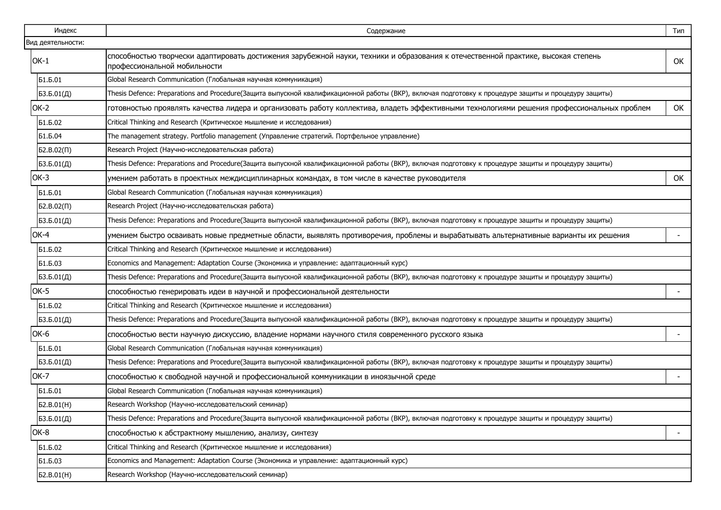| Индекс            | Содержание                                                                                                                                                       | Тип                      |
|-------------------|------------------------------------------------------------------------------------------------------------------------------------------------------------------|--------------------------|
| Вид деятельности: |                                                                                                                                                                  |                          |
| $OK-1$            | способностью творчески адаптировать достижения зарубежной науки, техники и образования к отечественной практике, высокая степень<br>профессиональной мобильности | OK                       |
| Б1.Б.01           | Global Research Communication (Глобальная научная коммуникация)                                                                                                  |                          |
| БЗ.Б.01(Д)        | Thesis Defence: Preparations and Procedure(Защита выпускной квалификационной работы (ВКР), включая подготовку к процедуре защиты и процедуру защиты)             |                          |
| OK-2              | готовностью проявлять качества лидера и организовать работу коллектива, владеть эффективными технологиями решения профессиональных проблем                       | ОК                       |
| Б1.Б.02           | Critical Thinking and Research (Критическое мышление и исследования)                                                                                             |                          |
| Б1.Б.04           | The management strategy. Portfolio management (Управление стратегий. Портфельное управление)                                                                     |                          |
| $52.B.02(\Pi)$    | Research Project (Научно-исследовательская работа)                                                                                                               |                          |
| 53.5.01(Д)        | Thesis Defence: Preparations and Procedure(Защита выпускной квалификационной работы (ВКР), включая подготовку к процедуре защиты и процедуру защиты)             |                          |
| OK-3              | умением работать в проектных междисциплинарных командах, в том числе в качестве руководителя                                                                     | OK                       |
| Б1.Б.01           | Global Research Communication (Глобальная научная коммуникация)                                                                                                  |                          |
| $52.B.02(\Pi)$    | Research Project (Научно-исследовательская работа)                                                                                                               |                          |
| 53.5.01(Д)        | Thesis Defence: Preparations and Procedure(Защита выпускной квалификационной работы (ВКР), включая подготовку к процедуре защиты и процедуру защиты)             |                          |
| OK-4              | умением быстро осваивать новые предметные области, выявлять противоречия, проблемы и вырабатывать альтернативные варианты их решения                             |                          |
| Б1.Б.02           | Critical Thinking and Research (Критическое мышление и исследования)                                                                                             |                          |
| Б1.Б.03           | Economics and Management: Adaptation Course (Экономика и управление: адаптационный курс)                                                                         |                          |
| 53.5.01(Д)        | Thesis Defence: Preparations and Procedure(Защита выпускной квалификационной работы (ВКР), включая подготовку к процедуре защиты и процедуру защиты)             |                          |
| OK-5              | способностью генерировать идеи в научной и профессиональной деятельности                                                                                         |                          |
| Б1.Б.02           | Critical Thinking and Research (Критическое мышление и исследования)                                                                                             |                          |
| 53.5.01(Д)        | Thesis Defence: Preparations and Procedure(Защита выпускной квалификационной работы (ВКР), включая подготовку к процедуре защиты и процедуру защиты)             |                          |
| OK-6              | способностью вести научную дискуссию, владение нормами научного стиля современного русского языка                                                                |                          |
| Б1.Б.01           | Global Research Communication (Глобальная научная коммуникация)                                                                                                  |                          |
| БЗ.Б.01(Д)        | Thesis Defence: Preparations and Procedure(Защита выпускной квалификационной работы (ВКР), включая подготовку к процедуре защиты и процедуру защиты)             |                          |
| OK-7              | способностью к свободной научной и профессиональной коммуникации в иноязычной среде                                                                              |                          |
| Б1.Б.01           | Global Research Communication (Глобальная научная коммуникация)                                                                                                  |                          |
| Б2.В.01(H)        | Research Workshop (Научно-исследовательский семинар)                                                                                                             |                          |
| БЗ.Б.01(Д)        | Thesis Defence: Preparations and Procedure(Защита выпускной квалификационной работы (ВКР), включая подготовку к процедуре защиты и процедуру защиты)             |                          |
| OK-8              | способностью к абстрактному мышлению, анализу, синтезу                                                                                                           | $\overline{\phantom{a}}$ |
| Б1.Б.02           | Critical Thinking and Research (Критическое мышление и исследования)                                                                                             |                          |
| Б1.Б.03           | Economics and Management: Adaptation Course (Экономика и управление: адаптационный курс)                                                                         |                          |
| Б2.В.01(H)        | Research Workshop (Научно-исследовательский семинар)                                                                                                             |                          |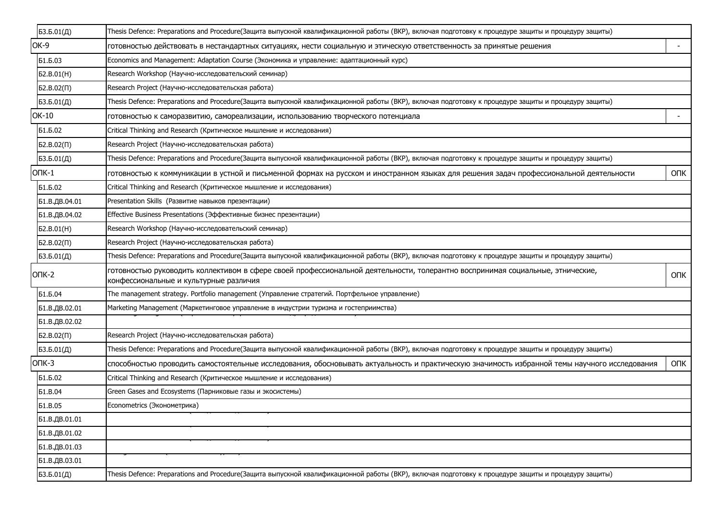| 53.5.01(Д)          | Thesis Defence: Preparations and Procedure(Защита выпускной квалификационной работы (ВКР), включая подготовку к процедуре защиты и процедуру защиты)                     |            |
|---------------------|--------------------------------------------------------------------------------------------------------------------------------------------------------------------------|------------|
| OK-9                | готовностью действовать в нестандартных ситуациях, нести социальную и этическую ответственность за принятые решения                                                      |            |
| Б1.Б.03             | Economics and Management: Adaptation Course (Экономика и управление: адаптационный курс)                                                                                 |            |
| 52.B.01(H)          | Research Workshop (Научно-исследовательский семинар)                                                                                                                     |            |
| 52.B.02(1)          | Research Project (Научно-исследовательская работа)                                                                                                                       |            |
| 53.5.01(Д)          | Thesis Defence: Preparations and Procedure(Защита выпускной квалификационной работы (ВКР), включая подготовку к процедуре защиты и процедуру защиты)                     |            |
| OK-10               | готовностью к саморазвитию, самореализации, использованию творческого потенциала                                                                                         |            |
| Б1.Б.02             | Critical Thinking and Research (Критическое мышление и исследования)                                                                                                     |            |
| 52.B.02(1)          | Research Project (Научно-исследовательская работа)                                                                                                                       |            |
| 53.5.01(Д)          | Thesis Defence: Preparations and Procedure(Защита выпускной квалификационной работы (ВКР), включая подготовку к процедуре защиты и процедуру защиты)                     |            |
| Onk-1               | готовностью к коммуникации в устной и письменной формах на русском и иностранном языках для решения задач профессиональной деятельности                                  | <b>OUK</b> |
| Б1.Б.02             | Critical Thinking and Research (Критическое мышление и исследования)                                                                                                     |            |
| Б1.В.ДВ.04.01       | Presentation Skills (Развитие навыков презентации)                                                                                                                       |            |
| Б1.В.ДВ.04.02       | Effective Business Presentations (Эффективные бизнес презентации)                                                                                                        |            |
| b2.B.01(H)          | Research Workshop (Научно-исследовательский семинар)                                                                                                                     |            |
| $52.B.02(\Pi)$      | Research Project (Научно-исследовательская работа)                                                                                                                       |            |
| 53.5.01( <i>Д</i> ) | Thesis Defence: Preparations and Procedure(Защита выпускной квалификационной работы (ВКР), включая подготовку к процедуре защиты и процедуру защиты)                     |            |
| ONK-2               | готовностью руководить коллективом в сфере своей профессиональной деятельности, толерантно воспринимая социальные, этнические,<br>конфессиональные и культурные различия | <b>ONK</b> |
| Б1.Б.04             | The management strategy. Portfolio management (Управление стратегий. Портфельное управление)                                                                             |            |
| Б1.В.ДВ.02.01       | Marketing Management (Маркетинговое управление в индустрии туризма и гостеприимства)                                                                                     |            |
| Б1.В.ДВ.02.02       |                                                                                                                                                                          |            |
| 52.B.02(1)          | Research Project (Научно-исследовательская работа)                                                                                                                       |            |
| 53.5.01( <i>Д</i> ) | Thesis Defence: Preparations and Procedure(Защита выпускной квалификационной работы (ВКР), включая подготовку к процедуре защиты и процедуру защиты)                     |            |
| $OIIK-3$            | способностью проводить самостоятельные исследования, обосновывать актуальность и практическую значимость избранной темы научного исследования                            | <b>ONK</b> |
| Б1.Б.02             | Critical Thinking and Research (Критическое мышление и исследования)                                                                                                     |            |
| <b>51.B.04</b>      | Green Gases and Ecosystems (Парниковые газы и экосистемы)                                                                                                                |            |
| <b>51.B.05</b>      | Econometrics (Эконометрика)                                                                                                                                              |            |
| Б1.В.ДВ.01.01       |                                                                                                                                                                          |            |
| Б1.В.ДВ.01.02       |                                                                                                                                                                          |            |
| Б1.В.ДВ.01.03       |                                                                                                                                                                          |            |
| Б1.В.ДВ.03.01       |                                                                                                                                                                          |            |
| БЗ.Б.01(Д)          | Thesis Defence: Preparations and Procedure(Защита выпускной квалификационной работы (ВКР), включая подготовку к процедуре защиты и процедуру защиты)                     |            |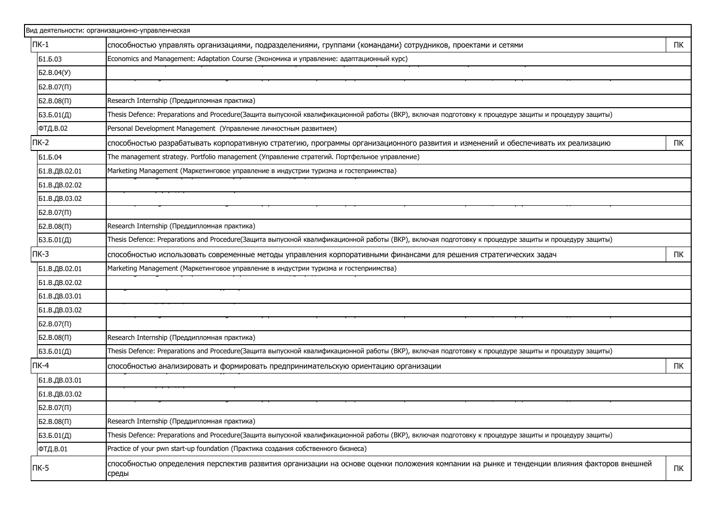|                    | Вид деятельности: организационно-управленческая                                                                                                      |    |
|--------------------|------------------------------------------------------------------------------------------------------------------------------------------------------|----|
| $\n  TK-1\n$       | способностью управлять организациями, подразделениями, группами (командами) сотрудников, проектами и сетями                                          | ПК |
| Б1.Б.03            | Economics and Management: Adaptation Course (Экономика и управление: адаптационный курс)                                                             |    |
| Б2.В.04(У)         |                                                                                                                                                      |    |
| $52.B.07(\Pi)$     |                                                                                                                                                      |    |
| 52.B.08(1)         | Research Internship (Преддипломная практика)                                                                                                         |    |
| БЗ.Б.01(Д)         | Thesis Defence: Preparations and Procedure(Защита выпускной квалификационной работы (ВКР), включая подготовку к процедуре защиты и процедуру защиты) |    |
| ФТД.В.02           | Personal Development Management (Управление личностным развитием)                                                                                    |    |
| $\mathsf{\Pi K-2}$ | способностью разрабатывать корпоративную стратегию, программы организационного развития и изменений и обеспечивать их реализацию                     | ПК |
| Б1.Б.04            | The management strategy. Portfolio management (Управление стратегий. Портфельное управление)                                                         |    |
| Б1.В.ДВ.02.01      | Marketing Management (Маркетинговое управление в индустрии туризма и гостеприимства)                                                                 |    |
| Б1.В.ДВ.02.02      |                                                                                                                                                      |    |
| Б1.В.ДВ.03.02      |                                                                                                                                                      |    |
| $52.B.07(\Pi)$     |                                                                                                                                                      |    |
| 52.B.08(1)         | Research Internship (Преддипломная практика)                                                                                                         |    |
| БЗ.Б.01(Д)         | Thesis Defence: Preparations and Procedure(Защита выпускной квалификационной работы (ВКР), включая подготовку к процедуре защиты и процедуру защиты) |    |
| $\Pi K-3$          | способностью использовать современные методы управления корпоративными финансами для решения стратегических задач                                    | ПК |
| Б1.В.ДВ.02.01      | Marketing Management (Маркетинговое управление в индустрии туризма и гостеприимства)                                                                 |    |
| Б1.В.ДВ.02.02      |                                                                                                                                                      |    |
| Б1.В.ДВ.03.01      |                                                                                                                                                      |    |
| Б1.В.ДВ.03.02      |                                                                                                                                                      |    |
| $52.B.07(\Pi)$     |                                                                                                                                                      |    |
| 52.B.08(1)         | Research Internship (Преддипломная практика)                                                                                                         |    |
| 53.5.01(Д)         | Thesis Defence: Preparations and Procedure(Защита выпускной квалификационной работы (ВКР), включая подготовку к процедуре защиты и процедуру защиты) |    |
| $\Pi K-4$          | способностью анализировать и формировать предпринимательскую ориентацию организации                                                                  | ПК |
| Б1.В.ДВ.03.01      |                                                                                                                                                      |    |
| Б1.В.ДВ.03.02      |                                                                                                                                                      |    |
| $52.B.07(\Pi)$     |                                                                                                                                                      |    |
| 52.B.08(1)         | Research Internship (Преддипломная практика)                                                                                                         |    |
| 53.5.01(Д)         | Thesis Defence: Preparations and Procedure(Защита выпускной квалификационной работы (ВКР), включая подготовку к процедуре защиты и процедуру защиты) |    |
| ФТД.В.01           | Practice of your pwn start-up foundation (Практика создания собственного бизнеса)                                                                    |    |
| $\Pi K-5$          | способностью определения перспектив развития организации на основе оценки положения компании на рынке и тенденции влияния факторов внешней<br>среды  | ПК |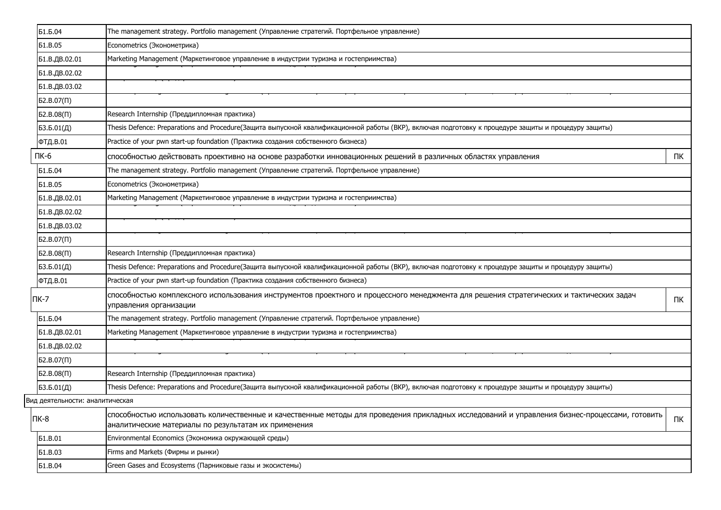| Б1.Б.04                         | The management strategy. Portfolio management (Управление стратегий. Портфельное управление)                                                                                                           |    |
|---------------------------------|--------------------------------------------------------------------------------------------------------------------------------------------------------------------------------------------------------|----|
| <b>61.B.05</b>                  | Econometrics (Эконометрика)                                                                                                                                                                            |    |
| Б1.В.ДВ.02.01                   | Marketing Management (Маркетинговое управление в индустрии туризма и гостеприимства)                                                                                                                   |    |
| Б1.В.ДВ.02.02                   |                                                                                                                                                                                                        |    |
| Б1.В.ДВ.03.02                   |                                                                                                                                                                                                        |    |
| $52.B.07(\Pi)$                  |                                                                                                                                                                                                        |    |
| 52.B.08(1)                      | Research Internship (Преддипломная практика)                                                                                                                                                           |    |
| 53.5.01(Д)                      | Thesis Defence: Preparations and Procedure(Защита выпускной квалификационной работы (ВКР), включая подготовку к процедуре защиты и процедуру защиты)                                                   |    |
| ФТД.В.01                        | Practice of your pwn start-up foundation (Практика создания собственного бизнеса)                                                                                                                      |    |
| $\Pi K-6$                       | способностью действовать проективно на основе разработки инновационных решений в различных областях управления                                                                                         | ПК |
| Б1.Б.04                         | The management strategy. Portfolio management (Управление стратегий. Портфельное управление)                                                                                                           |    |
| <b>51.B.05</b>                  | Econometrics (Эконометрика)                                                                                                                                                                            |    |
| Б1.В.ДВ.02.01                   | Marketing Management (Маркетинговое управление в индустрии туризма и гостеприимства)                                                                                                                   |    |
| Б1.В.ДВ.02.02                   |                                                                                                                                                                                                        |    |
| Б1.В.ДВ.03.02                   |                                                                                                                                                                                                        |    |
| $52.B.07(\Pi)$                  |                                                                                                                                                                                                        |    |
| 52.B.08(1)                      | Research Internship (Преддипломная практика)                                                                                                                                                           |    |
| 53.5.01(Д)                      | Thesis Defence: Preparations and Procedure(Защита выпускной квалификационной работы (ВКР), включая подготовку к процедуре защиты и процедуру защиты)                                                   |    |
| ФТД.В.01                        | Practice of your pwn start-up foundation (Практика создания собственного бизнеса)                                                                                                                      |    |
| $\Pi K-7$                       | способностью комплексного использования инструментов проектного и процессного менеджмента для решения стратегических и тактических задач<br>управления организации                                     | ПК |
| Б1.Б.04                         | The management strategy. Portfolio management (Управление стратегий. Портфельное управление)                                                                                                           |    |
| Б1.В.ДВ.02.01                   | Marketing Management (Маркетинговое управление в индустрии туризма и гостеприимства)                                                                                                                   |    |
| Б1.В.ДВ.02.02                   |                                                                                                                                                                                                        |    |
| 52.B.07(1)                      |                                                                                                                                                                                                        |    |
| 52.B.08(1)                      | Research Internship (Преддипломная практика)                                                                                                                                                           |    |
| 53.5.01(Д)                      | Thesis Defence: Preparations and Procedure(Защита выпускной квалификационной работы (ВКР), включая подготовку к процедуре защиты и процедуру защиты)                                                   |    |
| Вид деятельности: аналитическая |                                                                                                                                                                                                        |    |
| $\Pi K-8$                       | способностью использовать количественные и качественные методы для проведения прикладных исследований и управления бизнес-процессами, готовить<br>аналитические материалы по результатам их применения | ПК |
| <b>61.B.01</b>                  | Environmental Economics (Экономика окружающей среды)                                                                                                                                                   |    |
| <b>61.B.03</b>                  | Firms and Markets (Фирмы и рынки)                                                                                                                                                                      |    |
| <b>51.B.04</b>                  | Green Gases and Ecosystems (Парниковые газы и экосистемы)                                                                                                                                              |    |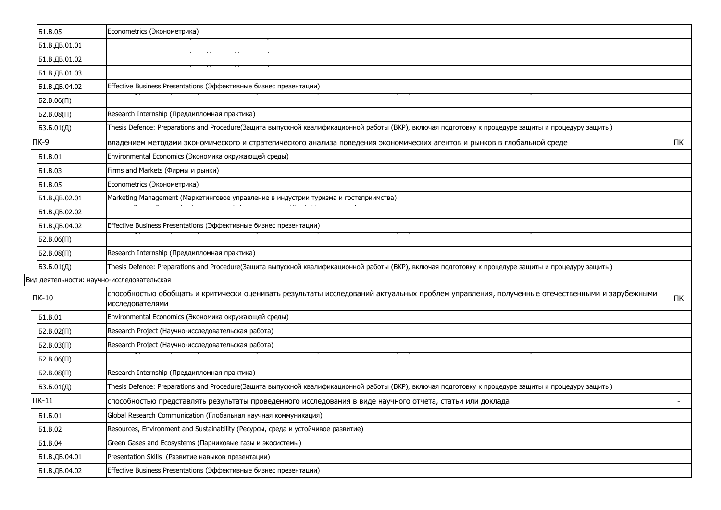| <b>51.B.05</b> | Econometrics (Эконометрика)                                                                                                                                    |    |
|----------------|----------------------------------------------------------------------------------------------------------------------------------------------------------------|----|
| Б1.В.ДВ.01.01  |                                                                                                                                                                |    |
| Б1.В.ДВ.01.02  |                                                                                                                                                                |    |
| Б1.В.ДВ.01.03  |                                                                                                                                                                |    |
| Б1.В.ДВ.04.02  | Effective Business Presentations (Эффективные бизнес презентации)                                                                                              |    |
| 52.B.06(1)     |                                                                                                                                                                |    |
| 52.B.08(1)     | Research Internship (Преддипломная практика)                                                                                                                   |    |
| БЗ.Б.01(Д)     | Thesis Defence: Preparations and Procedure(Защита выпускной квалификационной работы (ВКР), включая подготовку к процедуре защиты и процедуру защиты)           |    |
| $\Pi K-9$      | владением методами экономического и стратегического анализа поведения экономических агентов и рынков в глобальной среде                                        | ПК |
| <b>51.B.01</b> | Environmental Economics (Экономика окружающей среды)                                                                                                           |    |
| <b>51.B.03</b> | Firms and Markets (Фирмы и рынки)                                                                                                                              |    |
| <b>51.B.05</b> | Econometrics (Эконометрика)                                                                                                                                    |    |
| Б1.В.ДВ.02.01  | Marketing Management (Маркетинговое управление в индустрии туризма и гостеприимства)                                                                           |    |
| Б1.В.ДВ.02.02  |                                                                                                                                                                |    |
| Б1.В.ДВ.04.02  | Effective Business Presentations (Эффективные бизнес презентации)                                                                                              |    |
| 52.B.06(1)     |                                                                                                                                                                |    |
| 52.B.08(1)     | Research Internship (Преддипломная практика)                                                                                                                   |    |
| 53.5.01(Д)     | Thesis Defence: Preparations and Procedure(Защита выпускной квалификационной работы (ВКР), включая подготовку к процедуре защиты и процедуру защиты)           |    |
|                | Вид деятельности: научно-исследовательская                                                                                                                     |    |
| $\n  TK-10\n$  | способностью обобщать и критически оценивать результаты исследований актуальных проблем управления, полученные отечественными и зарубежными<br>исследователями | ПК |
| <b>51.B.01</b> | Environmental Economics (Экономика окружающей среды)                                                                                                           |    |
| $52.B.02(\Pi)$ | Research Project (Научно-исследовательская работа)                                                                                                             |    |
| $52.B.03(\Pi)$ | Research Project (Научно-исследовательская работа)                                                                                                             |    |
| $D2.B.06(\Pi)$ |                                                                                                                                                                |    |
| 52.B.08(1)     | Research Internship (Преддипломная практика)                                                                                                                   |    |
| 53.5.01(Д)     | Thesis Defence: Preparations and Procedure(Защита выпускной квалификационной работы (ВКР), включая подготовку к процедуре защиты и процедуру защиты)           |    |
| $\Pi K-11$     | способностью представлять результаты проведенного исследования в виде научного отчета, статьи или доклада                                                      |    |
| Б1.Б.01        | Global Research Communication (Глобальная научная коммуникация)                                                                                                |    |
| <b>51.B.02</b> | Resources, Environment and Sustainability (Ресурсы, среда и устойчивое развитие)                                                                               |    |
| <b>51.B.04</b> | Green Gases and Ecosystems (Парниковые газы и экосистемы)                                                                                                      |    |
| Б1.В.ДВ.04.01  | Presentation Skills (Развитие навыков презентации)                                                                                                             |    |
| Б1.В.ДВ.04.02  | Effective Business Presentations (Эффективные бизнес презентации)                                                                                              |    |
|                |                                                                                                                                                                |    |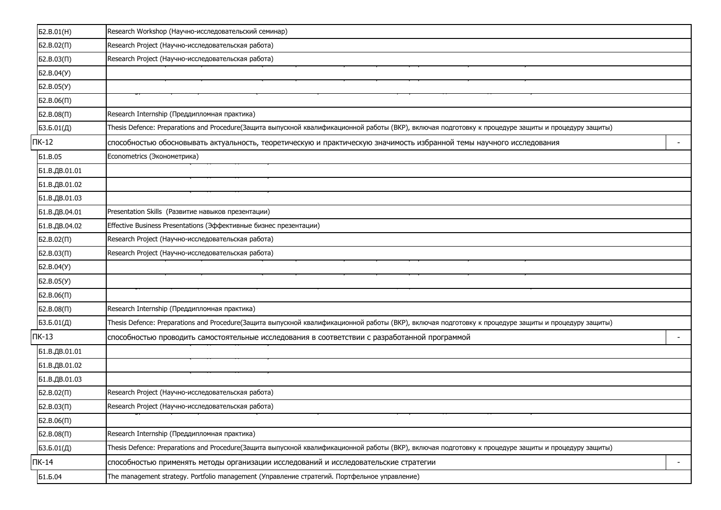| 52.B.01(H)        | Research Workshop (Научно-исследовательский семинар)                                                                                                 |                          |
|-------------------|------------------------------------------------------------------------------------------------------------------------------------------------------|--------------------------|
| $52.B.02(\Pi)$    | Research Project (Научно-исследовательская работа)                                                                                                   |                          |
| $52.B.03(\Pi)$    | Research Project (Научно-исследовательская работа)                                                                                                   |                          |
| Б2.В.04(У)        |                                                                                                                                                      |                          |
| Б2.В.05(У)        |                                                                                                                                                      |                          |
| $52.B.06(\Pi)$    |                                                                                                                                                      |                          |
| 52.B.08(1)        | Research Internship (Преддипломная практика)                                                                                                         |                          |
| БЗ.Б.01(Д)        | Thesis Defence: Preparations and Procedure(Защита выпускной квалификационной работы (ВКР), включая подготовку к процедуре защиты и процедуру защиты) |                          |
| $TK-12$           | способностью обосновывать актуальность, теоретическую и практическую значимость избранной темы научного исследования                                 |                          |
| <b>51.B.05</b>    | Econometrics (Эконометрика)                                                                                                                          |                          |
| Б1.В.ДВ.01.01     |                                                                                                                                                      |                          |
| Б1.В.ДВ.01.02     |                                                                                                                                                      |                          |
| Б1.В.ДВ.01.03     |                                                                                                                                                      |                          |
| Б1.В.ДВ.04.01     | Presentation Skills (Развитие навыков презентации)                                                                                                   |                          |
| Б1.В.ДВ.04.02     | Effective Business Presentations (Эффективные бизнес презентации)                                                                                    |                          |
| $52.B.02(\Pi)$    | Research Project (Научно-исследовательская работа)                                                                                                   |                          |
| $52.B.03(\Pi)$    | Research Project (Научно-исследовательская работа)                                                                                                   |                          |
| Б2.В.04(У)        |                                                                                                                                                      |                          |
| <b>62.B.05(Y)</b> |                                                                                                                                                      |                          |
| 52.B.06(1)        |                                                                                                                                                      |                          |
| 52.B.08(1)        | Research Internship (Преддипломная практика)                                                                                                         |                          |
| БЗ.Б.01(Д)        | Thesis Defence: Preparations and Procedure(Защита выпускной квалификационной работы (ВКР), включая подготовку к процедуре защиты и процедуру защиты) |                          |
| $TK-13$           | способностью проводить самостоятельные исследования в соответствии с разработанной программой                                                        |                          |
| Б1.В.ДВ.01.01     |                                                                                                                                                      |                          |
| Б1.В.ДВ.01.02     |                                                                                                                                                      |                          |
| Б1.В.ДВ.01.03     |                                                                                                                                                      |                          |
| $52.B.02(\Pi)$    | Research Project (Научно-исследовательская работа)                                                                                                   |                          |
| 52.B.03(1)        | Research Project (Научно-исследовательская работа)                                                                                                   |                          |
| 52.B.06(1)        |                                                                                                                                                      |                          |
| 52.B.08(1)        | Research Internship (Преддипломная практика)                                                                                                         |                          |
| БЗ.Б.01(Д)        | Thesis Defence: Preparations and Procedure(Защита выпускной квалификационной работы (ВКР), включая подготовку к процедуре защиты и процедуру защиты) |                          |
| $\Pi K-14$        | способностью применять методы организации исследований и исследовательские стратегии                                                                 | $\overline{\phantom{a}}$ |
| Б1.Б.04           | The management strategy. Portfolio management (Управление стратегий. Портфельное управление)                                                         |                          |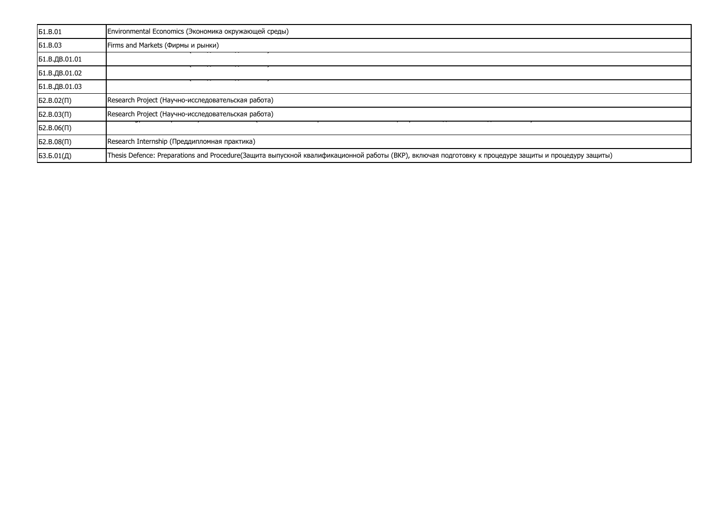| <b>51.B.01</b> | Environmental Economics (Экономика окружающей среды)                                                                                                 |
|----------------|------------------------------------------------------------------------------------------------------------------------------------------------------|
| <b>61.B.03</b> | Firms and Markets (Фирмы и рынки)                                                                                                                    |
| Б1.В.ДВ.01.01  |                                                                                                                                                      |
| Б1.В.ДВ.01.02  |                                                                                                                                                      |
| Б1.В.ДВ.01.03  |                                                                                                                                                      |
| 52.B.02(1)     | Research Project (Научно-исследовательская работа)                                                                                                   |
| 52.B.03(1)     | Research Project (Научно-исследовательская работа)                                                                                                   |
| 52.B.06(1)     |                                                                                                                                                      |
| 52.B.08(1)     | Research Internship (Преддипломная практика)                                                                                                         |
| 53.5.01(Д)     | Thesis Defence: Preparations and Procedure(Защита выпускной квалификационной работы (ВКР), включая подготовку к процедуре защиты и процедуру защиты) |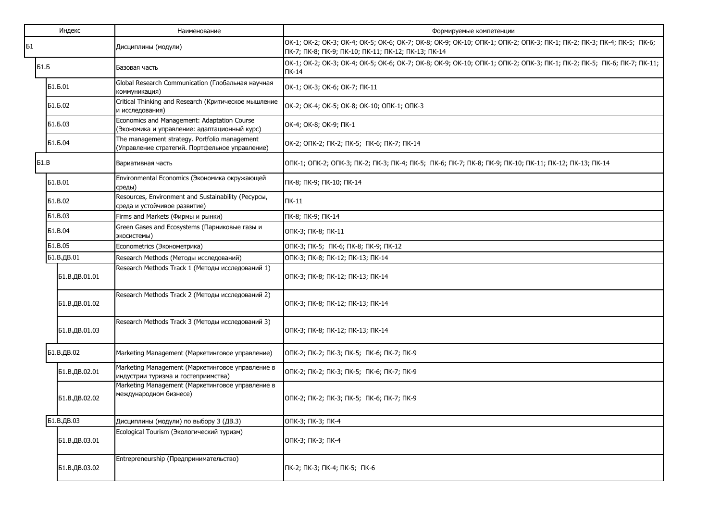| Индекс         | Наименование                                                                                    | Формируемые компетенции                                                                                                                                                      |
|----------------|-------------------------------------------------------------------------------------------------|------------------------------------------------------------------------------------------------------------------------------------------------------------------------------|
| Б1             | Дисциплины (модули)                                                                             | OK-1; OK-2; OK-3; OK-4; OK-5; OK-6; OK-7; OK-8; OK-9; OK-10; OΠK-1; OПK-2; OПK-3; ПК-1; ПК-2; ПК-3; ПК-4; ПК-5; ПК-6;<br>ПК-7; ПК-8; ПК-9; ПК-10; ПК-11; ПК-12; ПК-13; ПК-14 |
| <b>51.6</b>    | Базовая часть                                                                                   | OK-1; OK-2; OK-3; OK-4; OK-5; OK-6; OK-7; OK-8; OK-9; OK-10; OΠK-1; OΠK-2; OПK-3; ПК-1; ПК-2; ПК-5; ПК-6; ПК-7; ПК-11;<br>$\Pi K-14$                                         |
| Б1.Б.01        | Global Research Communication (Глобальная научная<br>коммуникация)                              | OK-1; OK-3; OK-6; OK-7; NK-11                                                                                                                                                |
| Б1.Б.02        | Critical Thinking and Research (Критическое мышление<br>и исследования)                         | OK-2; OK-4; OK-5; OK-8; OK-10; ONK-1; ONK-3                                                                                                                                  |
| Б1.Б.03        | Economics and Management: Adaptation Course<br>(Экономика и управление: адаптационный курс)     | OK-4; OK-8; OK-9; NK-1                                                                                                                                                       |
| Б1.Б.04        | The management strategy. Portfolio management<br>(Управление стратегий. Портфельное управление) | OK-2; ONK-2; NK-2; NK-5; NK-6; NK-7; NK-14                                                                                                                                   |
| <b>51.B</b>    | Вариативная часть                                                                               | ONK-1; ONK-2; ONK-3; NK-2; NK-3; NK-4; NK-5; NK-6; NK-7; NK-8; NK-9; NK-10; NK-11; NK-12; NK-13; NK-14                                                                       |
| <b>61.B.01</b> | Environmental Economics (Экономика окружающей<br>среды)                                         | ПК-8; ПК-9; ПК-10; ПК-14                                                                                                                                                     |
| <b>61.B.02</b> | Resources, Environment and Sustainability (Ресурсы,<br>среда и устойчивое развитие)             | $\Pi$ K-11                                                                                                                                                                   |
| <b>51.B.03</b> | Firms and Markets (Фирмы и рынки)                                                               | ПК-8; ПК-9; ПК-14                                                                                                                                                            |
| <b>51.B.04</b> | Green Gases and Ecosystems (Парниковые газы и<br>экосистемы)                                    | ОПК-3; ПК-8; ПК-11                                                                                                                                                           |
| <b>61.B.05</b> | Econometrics (Эконометрика)                                                                     | ОПК-3; ПК-5; ПК-6; ПК-8; ПК-9; ПК-12                                                                                                                                         |
| Б1.В.ДВ.01     | Research Methods (Методы исследований)                                                          | ОПК-3; ПК-8; ПК-12; ПК-13; ПК-14                                                                                                                                             |
| Б1.В.ДВ.01.01  | Research Methods Track 1 (Методы исследований 1)                                                | ОПК-3; ПК-8; ПК-12; ПК-13; ПК-14                                                                                                                                             |
| Б1.В.ДВ.01.02  | Research Methods Track 2 (Методы исследований 2)                                                | ОПК-3; ПК-8; ПК-12; ПК-13; ПК-14                                                                                                                                             |
| Б1.В.ДВ.01.03  | Research Methods Track 3 (Методы исследований 3)                                                | ОПК-3; ПК-8; ПК-12; ПК-13; ПК-14                                                                                                                                             |
| Б1.В.ДВ.02     | Marketing Management (Маркетинговое управление)                                                 | ОПК-2; ПК-2; ПК-3; ПК-5; ПК-6; ПК-7; ПК-9                                                                                                                                    |
| Б1.В.ДВ.02.01  | Marketing Management (Маркетинговое управление в<br>индустрии туризма и гостеприимства)         | ОПК-2; ПК-2; ПК-3; ПК-5; ПК-6; ПК-7; ПК-9                                                                                                                                    |
| Б1.В.ДВ.02.02  | Marketing Management (Маркетинговое управление в<br>международном бизнесе)                      | ОПК-2; ПК-2; ПК-3; ПК-5; ПК-6; ПК-7; ПК-9                                                                                                                                    |
| Б1.В.ДВ.03     | Дисциплины (модули) по выбору 3 (ДВ.3)                                                          | ОПК-3; ПК-3; ПК-4                                                                                                                                                            |
| Б1.В.ДВ.03.01  | Ecological Tourism (Экологический туризм)                                                       | ОПК-3; ПК-3; ПК-4                                                                                                                                                            |
| Б1.В.ДВ.03.02  | Entrepreneurship (Предпринимательство)                                                          | ПК-2; ПК-3; ПК-4; ПК-5; ПК-6                                                                                                                                                 |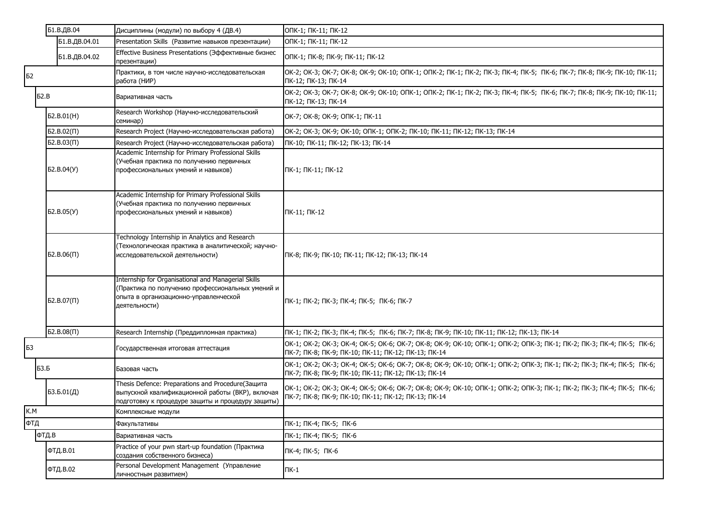|             | Б1.В.ДВ.04        | Дисциплины (модули) по выбору 4 (ДВ.4)                                                                                                                            | ОПК-1; ПК-11; ПК-12                                                                                                                                                          |
|-------------|-------------------|-------------------------------------------------------------------------------------------------------------------------------------------------------------------|------------------------------------------------------------------------------------------------------------------------------------------------------------------------------|
|             | Б1.В.ДВ.04.01     | Presentation Skills (Развитие навыков презентации)                                                                                                                | ОПК-1; ПК-11; ПК-12                                                                                                                                                          |
|             | Б1.В.ДВ.04.02     | Effective Business Presentations (Эффективные бизнес<br>презентации)                                                                                              | ОПК-1; ПК-8; ПК-9; ПК-11; ПК-12                                                                                                                                              |
| Б2          |                   | Практики, в том числе научно-исследовательская<br>работа (НИР)                                                                                                    | OK-2; OK-3; OK-7; OK-8; OK-9; OK-10; OΠK-1; OПK-2; ПК-1; ПК-2; ПК-3; ПК-4; ПК-5; ПК-6; ПК-7; ПК-8; ПК-9; ПК-10; ПК-11;<br>ПК-12; ПК-13; ПК-14                                |
| <b>52.B</b> |                   | Вариативная часть                                                                                                                                                 | OK-2; OK-3; OK-7; OK-8; OK-9; OK-10; OΠK-1; OПK-2; ПК-1; ПК-2; ПК-3; ПК-4; ПК-5; ПК-6; ПК-7; ПК-8; ПК-9; ПК-10; ПК-11;<br>ПК-12; ПК-13; ПК-14                                |
|             | D. B.01(H)        | Research Workshop (Научно-исследовательский<br>семинар)                                                                                                           | OK-7; OK-8; OK-9; ONK-1; NK-11                                                                                                                                               |
|             | $52.B.02(\Pi)$    | Research Project (Научно-исследовательская работа)                                                                                                                | OK-2; OK-3; OK-9; OK-10; ONK-1; ONK-2; NK-10; NK-11; NK-12; NK-13; NK-14                                                                                                     |
|             | 52.B.03(1)        | Research Project (Научно-исследовательская работа)                                                                                                                | ПК-10; ПК-11; ПК-12; ПК-13; ПК-14                                                                                                                                            |
|             | <b>62.B.04(Y)</b> | Academic Internship for Primary Professional Skills<br>(Учебная практика по получению первичных<br>профессиональных умений и навыков)                             | ПК-1; ПК-11; ПК-12                                                                                                                                                           |
|             | D. B. 05(Y)       | Academic Internship for Primary Professional Skills<br>(Учебная практика по получению первичных<br>профессиональных умений и навыков)                             | ПК-11; ПК-12                                                                                                                                                                 |
|             | $B2.B.06(\Pi)$    | Technology Internship in Analytics and Research<br>Технологическая практика в аналитической; научно-<br>исследовательской деятельности)                           | ПК-8; ПК-9; ПК-10; ПК-11; ПК-12; ПК-13; ПК-14                                                                                                                                |
|             | $ 62.B.07(\Pi) $  | Internship for Organisational and Managerial Skills<br>(Практика по получению профессиональных умений и<br>опыта в организационно-управленческой<br>деятельности) | ПК-1; ПК-2; ПК-3; ПК-4; ПК-5; ПК-6; ПК-7                                                                                                                                     |
|             | 52.B.08(1)        | Research Internship (Преддипломная практика)                                                                                                                      | ПК-1; ПК-2; ПК-3; ПК-4; ПК-5; ПК-6; ПК-7; ПК-8; ПК-9; ПК-10; ПК-11; ПК-12; ПК-13; ПК-14                                                                                      |
| Б3          |                   | Государственная итоговая аттестация                                                                                                                               | OK-1; OK-2; OK-3; OK-4; OK-5; OK-6; OK-7; OK-8; OK-9; OK-10; OΠK-1; OПK-2; OПK-3; ПК-1; ПК-2; ПК-3; ПК-4; ПК-5; ПК-6;<br>ПК-7; ПК-8; ПК-9; ПК-10; ПК-11; ПК-12; ПК-13; ПК-14 |
| <b>БЗ.Б</b> |                   | Базовая часть                                                                                                                                                     | OK-1; OK-2; OK-3; OK-4; OK-5; OK-6; OK-7; OK-8; OK-9; OK-10; OΠK-1; OПK-2; OПK-3; ПК-1; ПК-2; ПК-3; ПК-4; ПК-5; ПК-6;<br>ПК-7; ПК-8; ПК-9; ПК-10; ПК-11; ПК-12; ПК-13; ПК-14 |
|             | 53.5.01(Д)        | Thesis Defence: Preparations and Procedure(Защита<br>выпускной квалификационной работы (ВКР), включая<br>подготовку к процедуре защиты и процедуру защиты)        | OK-1; OK-2; OK-3; OK-4; OK-5; OK-6; OK-7; OK-8; OK-9; OK-10; OΠK-1; OПK-2; OПK-3; ПК-1; ПК-2; ПК-3; ПК-4; ПК-5; ПК-6;<br>ПК-7; ПК-8; ПК-9; ПК-10; ПК-11; ПК-12; ПК-13; ПК-14 |
| K.M         |                   | Комплексные модули                                                                                                                                                |                                                                                                                                                                              |
| ФТД         |                   | Факультативы                                                                                                                                                      | ПК-1; ПК-4; ПК-5; ПК-6                                                                                                                                                       |
|             | ФТД.В             | Вариативная часть                                                                                                                                                 | ПК-1; ПК-4; ПК-5; ПК-6                                                                                                                                                       |
|             | ФТД.В.01          | Practice of your pwn start-up foundation (Практика<br>создания собственного бизнеса)                                                                              | ПК-4; ПК-5; ПК-6                                                                                                                                                             |
|             | ФТД.В.02          | Personal Development Management (Управление<br>личностным развитием)                                                                                              | $\Pi K-1$                                                                                                                                                                    |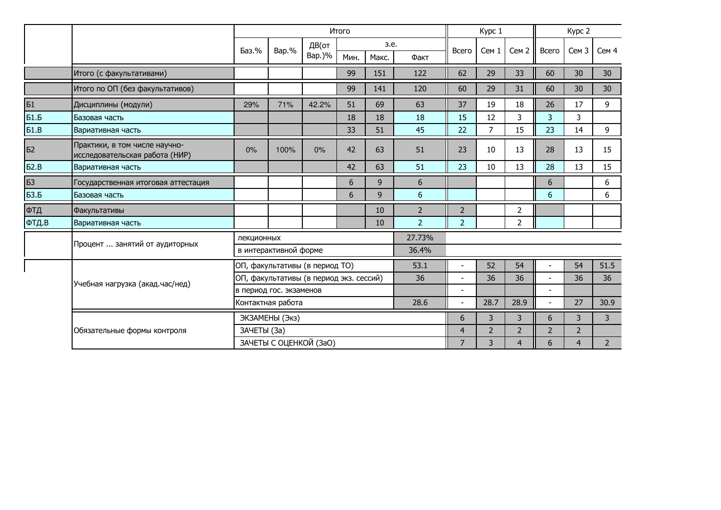|             |                                                                 |             |                         |                                         | Итого |       |                |                          | Kypc 1         |                  |                          |                  |                 |  |
|-------------|-----------------------------------------------------------------|-------------|-------------------------|-----------------------------------------|-------|-------|----------------|--------------------------|----------------|------------------|--------------------------|------------------|-----------------|--|
|             |                                                                 | Баз.%       | Bap.%                   | ДВ(от                                   |       | з.е.  |                | Всего                    | Cem 1          | Сем <sub>2</sub> | Всего                    | Сем <sub>3</sub> | Сем 4           |  |
|             |                                                                 |             |                         | Bap.)%                                  | Мин.  | Макс. | Факт           |                          |                |                  |                          |                  |                 |  |
|             | Итого (с факультативами)                                        |             |                         |                                         | 99    | 151   | 122            | 62                       | 29             | 33               | 60                       | 30               | 30              |  |
|             | Итого по ОП (без факультативов)                                 |             |                         |                                         | 99    | 141   | 120            | 60                       | 29             | 31               | 60                       | 30               | 30 <sup>°</sup> |  |
| <b>51</b>   | Дисциплины (модули)                                             | 29%         | 71%                     | 42.2%                                   | 51    | 69    | 63             | 37                       | 19             | 18               | 26                       | 17               | 9               |  |
| <b>Б1.Б</b> | Базовая часть                                                   |             |                         |                                         | 18    | 18    | 18             | 15                       | 12             | 3                | 3                        | 3                |                 |  |
| 51.B        | Вариативная часть                                               |             |                         |                                         | 33    | 51    | 45             | 22                       | $\overline{7}$ | 15               | 23                       | 14               | 9               |  |
| Б2          | Практики, в том числе научно-<br>исследовательская работа (НИР) | 0%          | 100%                    | 0%                                      | 42    | 63    | 51             | 23                       | 10             | 13               | 28                       | 13               | 15              |  |
| 52.B        | Вариативная часть                                               |             |                         |                                         | 42    | 63    | 51             | 23                       | 10             | 13               | 28                       | 13               | 15              |  |
| Б3          | Государственная итоговая аттестация                             |             |                         |                                         | 6     | 9     | 6              |                          |                |                  | 6                        |                  | 6               |  |
| <b>БЗ.Б</b> | Базовая часть                                                   |             |                         |                                         | 6     | 9     | 6              |                          |                |                  | 6                        |                  | 6               |  |
| ФТД         | Факультативы                                                    |             |                         |                                         |       | 10    | $\overline{2}$ | $\overline{2}$           |                | $\overline{2}$   |                          |                  |                 |  |
| ФТД.В       | Вариативная часть                                               |             |                         |                                         |       | 10    | $\overline{2}$ | $\overline{2}$           |                | $\overline{2}$   |                          |                  |                 |  |
|             |                                                                 | лекционных  |                         |                                         |       |       | 27.73%         |                          |                |                  |                          |                  |                 |  |
|             | Процент  занятий от аудиторных                                  |             | в интерактивной форме   |                                         |       |       | 36.4%          |                          |                |                  |                          |                  |                 |  |
|             |                                                                 |             |                         | ОП, факультативы (в период ТО)          |       |       | 53.1           |                          | 52             | 54               |                          | 54               | 51.5            |  |
|             | Учебная нагрузка (акад.час/нед)                                 |             |                         | ОП, факультативы (в период экз. сессий) |       |       | 36             |                          | 36             | 36               | $\sim$                   | 36               | 36              |  |
|             |                                                                 |             | в период гос. экзаменов |                                         |       |       |                | $\overline{\phantom{a}}$ |                |                  | $\overline{\phantom{a}}$ |                  |                 |  |
|             |                                                                 |             | Контактная работа       |                                         |       |       | 28.6           |                          | 28.7           | 28.9             |                          | 27               | 30.9            |  |
|             |                                                                 |             | ЭКЗАМЕНЫ (Экз)          |                                         |       |       |                | 6                        | 3              | 3                | 6                        | 3                | $\overline{3}$  |  |
|             | Обязательные формы контроля                                     | ЗАЧЕТЫ (За) |                         |                                         |       |       |                | $\overline{4}$           | $\overline{2}$ | $\overline{2}$   | $\overline{2}$           | $\overline{2}$   |                 |  |
|             |                                                                 |             |                         | ЗАЧЕТЫ С ОЦЕНКОЙ (ЗаО)                  |       |       |                | $\overline{7}$           | 3              | 4                | 6                        | 4                | $2^{\circ}$     |  |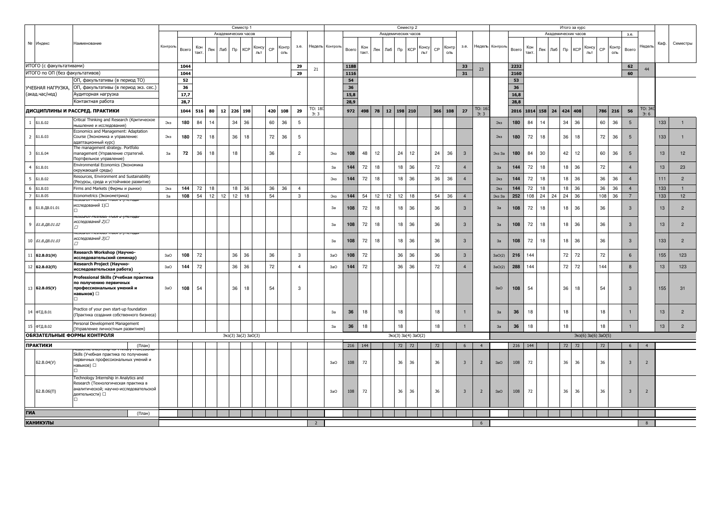| Академических часов<br>Академических часов<br>Академических часов<br>3.e.<br>№ Индекс<br>Семестры<br>Наименование<br>Каф.<br>Недель Контроль<br>Контроль<br>Недель Контрол<br>3.e.<br>3.e.<br>Недель<br>Кон<br>Консу<br>Контр<br>Кон<br>Консу<br>Кон<br>Консу<br>Контр<br><b>«Контр</b><br>$\mathsf{CP}$<br><b>KCP</b><br>Bcero<br>Лаб<br><b>KCP</b><br>Bcero<br>CP<br>Bcero<br><b>KCP</b><br>$\mathsf{CP}$<br>Bcero<br>$\n  np\n$<br>Лек<br>Лаб<br>$\n  np\n$<br>Пек<br>Лаб<br>$\n  np\n$<br>Лек<br>такт.<br>льт<br>ОЛЬ<br>такт<br>льт<br>ОЛЬ<br>такт<br>льт<br>оль<br>ИТОГО (с факультативами)<br>1044<br>29<br>1188<br>33<br>2232<br>62<br>23<br>21<br>44<br>ИТОГО по ОП (без факультативов)<br>1044<br>29<br>1116<br>31<br>2160<br>60<br>ОП, факультативы (в период ТО)<br>52<br>54<br>53<br>36<br>36<br>36<br>ОП, факультативы (в период экз. сес.)<br>УЧЕБНАЯ НАГРУЗКА,<br>15,8<br>(акад.час/нед)<br>17,7<br>16,8<br>Аудиторная нагрузка<br>28,9<br>Контактная работа<br>28,7<br>28,8<br>TO: 34<br>TO: 18<br>TO: 16<br>ДИСЦИПЛИНЫ И РАССРЕД. ПРАКТИКИ<br>1044<br>12<br>226 198<br>420<br>108<br>29<br>972<br>498 78 12 198 210<br>366 108<br>27<br>2016 1014 158<br>424 408<br>786 216<br>56<br>516<br>80 l<br>24<br>3:3<br>$\rightarrow$ .<br>$\rightarrow$ 6<br>Critical Thinking and Research (Критическое<br>36<br>60<br>180<br>84<br>34<br>36<br>36<br>60<br>36<br>14<br>5<br>180<br>84<br>14<br>34<br>$5\overline{5}$<br>133<br>$\mathbf{1}$<br><b>51.5.02</b><br>Экз<br>Экз<br>мышление и исследования)<br>Economics and Management: Adaptation<br>72<br>36<br>72<br>36<br>72<br>36<br>180<br>72<br>18<br>36<br>18<br>$\overline{5}$<br>18<br>18<br>133<br>$\overline{2}$<br>180<br>5<br>$\overline{1}$<br><b>51.5.03</b><br>Course (Экономика и управление:<br>Экз<br>Экз<br>адаптационный курс)<br>The management strategy. Portfolio<br>72<br>12<br>36<br>30<br>42 12<br>36<br>$\overline{\mathbf{3}}$<br>36<br>18<br>18<br>36<br>$\overline{c}$<br>108<br>48<br>12<br>24<br>24<br>84<br>60<br>13<br>12<br><b>51.6.04</b><br>management (Управление стратегий.<br>3a<br>Экз<br>$\mathbf{3}$<br>180<br>$5\overline{5}$<br>Экз За<br>Портфельное управление)<br>Environmental Economics (Экономика<br>$\overline{4}$<br>144<br>72<br>18<br>36<br>72<br>72<br>18<br>18 36<br>72<br>13<br>23<br><b>51.B.01</b><br>3a<br>18 <sup>1</sup><br>$\overline{a}$<br>3a<br>144<br>окружающей среды)<br>Resources, Environment and Sustainability<br>$5\overline{5}$<br>18<br>36<br>72<br>18<br>36<br>36<br>36<br>111<br>$\overline{2}$<br>144<br>72<br>36<br>36<br>144<br>18<br><b>51.B.02</b><br>Экз<br>18<br>$\overline{4}$<br>Экз<br>Ресурсы, среда и устойчивое развитие)<br>$6\overline{6}$<br>36<br>18<br>133<br>72<br>18<br>18<br>36<br>36<br>$\overline{4}$<br>72<br>18<br>36<br>36<br>36<br><b>51.B.03</b><br>Firms and Markets (Фирмы и рынки)<br>Экз<br>144<br>Экз<br>144<br>$\overline{4}$<br>1<br>$\overline{7}$<br>108<br>54<br>12<br>12<br>12<br>18<br>54<br>12<br>36<br>108<br>24<br>24<br>24<br>36<br>108<br>36<br>133<br>12<br><b>51.B.05</b><br>Econometrics (Эконометрика)<br>3a<br>$\mathbf{3}$<br>144<br>54<br>12<br>12<br>18<br>54<br>$\overline{4}$<br>Экз За<br>252<br>Экз<br>исследований 1)□<br>8<br>36<br>72<br>18<br>36<br>$\overline{2}$<br>108<br>72<br>18<br>18 <sup>1</sup><br>36<br>3<br>108<br>18<br>36<br>$\mathbf{3}$<br>13<br>Б1.В.ДВ.01.01<br>3a<br>3a<br>исследований 2)⊡<br>9<br>36<br>108<br>72<br>18<br>18 <sup>1</sup><br>36<br>108<br>72<br>18<br>18<br>36<br>36<br>3<br>13<br>$\overline{2}$<br>Б1.В.ДВ.01.02<br>3<br>3a<br>3a<br>исследований 3)⊡<br>10 <i>51.B.AB.01.03</i><br>72<br>18<br>36<br>72<br>18<br>36<br>36<br>18<br>36<br>133<br>$\overline{2}$<br>3a<br>108<br>18<br>3<br>108<br>3<br>3a<br>Research Workshop (Научно-<br>72<br>36<br>36<br>36<br>36<br>36<br>72<br>72<br>72<br>123<br>$11$ <b>62.8.01(H)</b><br>108<br>3<br>108<br>72<br>36<br>$\mathbf{3}$<br>216<br>144<br>6<br>155<br>3aO<br>3aO<br>3aO(2)<br>исследовательский семинар)<br>Research Project (Научно-<br>72<br>36<br>72<br>72<br>72<br>12 $B2.B.02(II)$<br>144<br>36<br>$\overline{4}$<br>144<br>72<br>36<br>36<br>72<br>144<br>144<br>13<br>123<br>3aO<br>3aO<br>288<br>$\mathbf{8}$<br>3aO(2)<br>исследовательская работа)<br>Professional Skills (Учебная практика<br>по получению первичных<br>13 <b>62.B.05(Y)</b><br>36<br>профессиональных умений и<br>108<br>54<br>36<br>18<br>54<br>3<br>108<br>54<br>18<br>54<br>$\mathcal{R}$<br>155<br>31<br>3aO<br>3aO<br>навыков) $\Box$<br>Practice of your pwn start-up foundation<br>14 ФТД.В.01<br>18<br>3a<br>36<br>18<br>18<br>18<br>13<br>$\overline{2}$<br>18<br>3a<br>36<br>18<br>(Практика создания собственного бизнеса)<br>Personal Development Management<br>$2^{\circ}$<br>15 ФТД.В.02<br>3a<br>36<br>18<br>36<br>18<br>18<br>18<br>13<br>18<br>18<br>3a<br>Управление личностным развитием)<br>ОБЯЗАТЕЛЬНЫЕ ФОРМЫ КОНТРОЛЯ<br>Экз(3) За(4) ЗаО(2)<br>Экз(6) За(6) ЗаО(5)<br>Экз(3) За(2) ЗаО(3)<br><b>ПРАКТИКИ</b><br>216<br>144<br>72<br>216<br>144<br>72 72<br>72<br>72<br>72<br>$\overline{4}$<br>(План)<br>6<br>$\overline{4}$<br>6<br>Skills (Учебная практика по получению<br>первичных профессиональных умений и<br>62.B.04(Y)<br>3aO<br>108<br>72<br>36<br>36<br>36<br>$\overline{3}$<br>3aO<br>108<br>72<br>36<br>36<br>36<br>$\overline{2}$<br>$\overline{\mathbf{3}}$<br>$\overline{2}$<br>навыков) $\square$<br>Technology Internship in Analytics and<br>Research (Технологическая практика в<br>налитической; научно-исследовательской<br>72<br>52.B.06(1)<br>36<br>36<br>36<br>36<br>36<br>36<br>3aO<br>108<br>72<br>$\overline{3}$<br>$\overline{2}$<br>3aO<br>108<br>$\overline{3}$<br>$\overline{2}$<br>деятельности) □<br>ГИА<br>(План)<br><b>КАНИКУЛЫ</b><br>$\overline{2}$<br>6<br>$\mathbf{R}$ |  |  |  |  | Семестр 1 |  |  |  |  |  |  |  |  |  |  |  |  | Семестр 2 |  |  |  |  |  |  |  |  |  | Итого за курс |  |  |  |  |  |  |  |  |  |
|-----------------------------------------------------------------------------------------------------------------------------------------------------------------------------------------------------------------------------------------------------------------------------------------------------------------------------------------------------------------------------------------------------------------------------------------------------------------------------------------------------------------------------------------------------------------------------------------------------------------------------------------------------------------------------------------------------------------------------------------------------------------------------------------------------------------------------------------------------------------------------------------------------------------------------------------------------------------------------------------------------------------------------------------------------------------------------------------------------------------------------------------------------------------------------------------------------------------------------------------------------------------------------------------------------------------------------------------------------------------------------------------------------------------------------------------------------------------------------------------------------------------------------------------------------------------------------------------------------------------------------------------------------------------------------------------------------------------------------------------------------------------------------------------------------------------------------------------------------------------------------------------------------------------------------------------------------------------------------------------------------------------------------------------------------------------------------------------------------------------------------------------------------------------------------------------------------------------------------------------------------------------------------------------------------------------------------------------------------------------------------------------------------------------------------------------------------------------------------------------------------------------------------------------------------------------------------------------------------------------------------------------------------------------------------------------------------------------------------------------------------------------------------------------------------------------------------------------------------------------------------------------------------------------------------------------------------------------------------------------------------------------------------------------------------------------------------------------------------------------------------------------------------------------------------------------------------------------------------------------------------------------------------------------------------------------------------------------------------------------------------------------------------------------------------------------------------------------------------------------------------------------------------------------------------------------------------------------------------------------------------------------------------------------------------------------------------------------------------------------------------------------------------------------------------------------------------------------------------------------------------------------------------------------------------------------------------------------------------------------------------------------------------------------------------------------------------------------------------------------------------------------------------------------------------------------------------------------------------------------------------------------------------------------------------------------------------------------------------------------------------------------------------------------------------------------------------------------------------------------------------------------------------------------------------------------------------------------------------------------------------------------------------------------------------------------------------------------------------------------------------------------------------------------------------------------------------------------------------------------------------------------------------------------------------------------------------------------------------------------------------------------------------------------------------------------------------------------------------------------------------------------------------------------------------------------------------------------------------------------------------------------------------------------------------------------------------------------------------------------------------------------------------------------------------------------------------------------------------------------------------------------------------------------------------------------------------------------------------------------------------------------------------------------------------------------------------------------------------------------------------------------------------------------------------------------------|--|--|--|--|-----------|--|--|--|--|--|--|--|--|--|--|--|--|-----------|--|--|--|--|--|--|--|--|--|---------------|--|--|--|--|--|--|--|--|--|
|                                                                                                                                                                                                                                                                                                                                                                                                                                                                                                                                                                                                                                                                                                                                                                                                                                                                                                                                                                                                                                                                                                                                                                                                                                                                                                                                                                                                                                                                                                                                                                                                                                                                                                                                                                                                                                                                                                                                                                                                                                                                                                                                                                                                                                                                                                                                                                                                                                                                                                                                                                                                                                                                                                                                                                                                                                                                                                                                                                                                                                                                                                                                                                                                                                                                                                                                                                                                                                                                                                                                                                                                                                                                                                                                                                                                                                                                                                                                                                                                                                                                                                                                                                                                                                                                                                                                                                                                                                                                                                                                                                                                                                                                                                                                                                                                                                                                                                                                                                                                                                                                                                                                                                                                                                                                                                                                                                                                                                                                                                                                                                                                                                                                                                                                                                                                                       |  |  |  |  |           |  |  |  |  |  |  |  |  |  |  |  |  |           |  |  |  |  |  |  |  |  |  |               |  |  |  |  |  |  |  |  |  |
|                                                                                                                                                                                                                                                                                                                                                                                                                                                                                                                                                                                                                                                                                                                                                                                                                                                                                                                                                                                                                                                                                                                                                                                                                                                                                                                                                                                                                                                                                                                                                                                                                                                                                                                                                                                                                                                                                                                                                                                                                                                                                                                                                                                                                                                                                                                                                                                                                                                                                                                                                                                                                                                                                                                                                                                                                                                                                                                                                                                                                                                                                                                                                                                                                                                                                                                                                                                                                                                                                                                                                                                                                                                                                                                                                                                                                                                                                                                                                                                                                                                                                                                                                                                                                                                                                                                                                                                                                                                                                                                                                                                                                                                                                                                                                                                                                                                                                                                                                                                                                                                                                                                                                                                                                                                                                                                                                                                                                                                                                                                                                                                                                                                                                                                                                                                                                       |  |  |  |  |           |  |  |  |  |  |  |  |  |  |  |  |  |           |  |  |  |  |  |  |  |  |  |               |  |  |  |  |  |  |  |  |  |
|                                                                                                                                                                                                                                                                                                                                                                                                                                                                                                                                                                                                                                                                                                                                                                                                                                                                                                                                                                                                                                                                                                                                                                                                                                                                                                                                                                                                                                                                                                                                                                                                                                                                                                                                                                                                                                                                                                                                                                                                                                                                                                                                                                                                                                                                                                                                                                                                                                                                                                                                                                                                                                                                                                                                                                                                                                                                                                                                                                                                                                                                                                                                                                                                                                                                                                                                                                                                                                                                                                                                                                                                                                                                                                                                                                                                                                                                                                                                                                                                                                                                                                                                                                                                                                                                                                                                                                                                                                                                                                                                                                                                                                                                                                                                                                                                                                                                                                                                                                                                                                                                                                                                                                                                                                                                                                                                                                                                                                                                                                                                                                                                                                                                                                                                                                                                                       |  |  |  |  |           |  |  |  |  |  |  |  |  |  |  |  |  |           |  |  |  |  |  |  |  |  |  |               |  |  |  |  |  |  |  |  |  |
|                                                                                                                                                                                                                                                                                                                                                                                                                                                                                                                                                                                                                                                                                                                                                                                                                                                                                                                                                                                                                                                                                                                                                                                                                                                                                                                                                                                                                                                                                                                                                                                                                                                                                                                                                                                                                                                                                                                                                                                                                                                                                                                                                                                                                                                                                                                                                                                                                                                                                                                                                                                                                                                                                                                                                                                                                                                                                                                                                                                                                                                                                                                                                                                                                                                                                                                                                                                                                                                                                                                                                                                                                                                                                                                                                                                                                                                                                                                                                                                                                                                                                                                                                                                                                                                                                                                                                                                                                                                                                                                                                                                                                                                                                                                                                                                                                                                                                                                                                                                                                                                                                                                                                                                                                                                                                                                                                                                                                                                                                                                                                                                                                                                                                                                                                                                                                       |  |  |  |  |           |  |  |  |  |  |  |  |  |  |  |  |  |           |  |  |  |  |  |  |  |  |  |               |  |  |  |  |  |  |  |  |  |
|                                                                                                                                                                                                                                                                                                                                                                                                                                                                                                                                                                                                                                                                                                                                                                                                                                                                                                                                                                                                                                                                                                                                                                                                                                                                                                                                                                                                                                                                                                                                                                                                                                                                                                                                                                                                                                                                                                                                                                                                                                                                                                                                                                                                                                                                                                                                                                                                                                                                                                                                                                                                                                                                                                                                                                                                                                                                                                                                                                                                                                                                                                                                                                                                                                                                                                                                                                                                                                                                                                                                                                                                                                                                                                                                                                                                                                                                                                                                                                                                                                                                                                                                                                                                                                                                                                                                                                                                                                                                                                                                                                                                                                                                                                                                                                                                                                                                                                                                                                                                                                                                                                                                                                                                                                                                                                                                                                                                                                                                                                                                                                                                                                                                                                                                                                                                                       |  |  |  |  |           |  |  |  |  |  |  |  |  |  |  |  |  |           |  |  |  |  |  |  |  |  |  |               |  |  |  |  |  |  |  |  |  |
|                                                                                                                                                                                                                                                                                                                                                                                                                                                                                                                                                                                                                                                                                                                                                                                                                                                                                                                                                                                                                                                                                                                                                                                                                                                                                                                                                                                                                                                                                                                                                                                                                                                                                                                                                                                                                                                                                                                                                                                                                                                                                                                                                                                                                                                                                                                                                                                                                                                                                                                                                                                                                                                                                                                                                                                                                                                                                                                                                                                                                                                                                                                                                                                                                                                                                                                                                                                                                                                                                                                                                                                                                                                                                                                                                                                                                                                                                                                                                                                                                                                                                                                                                                                                                                                                                                                                                                                                                                                                                                                                                                                                                                                                                                                                                                                                                                                                                                                                                                                                                                                                                                                                                                                                                                                                                                                                                                                                                                                                                                                                                                                                                                                                                                                                                                                                                       |  |  |  |  |           |  |  |  |  |  |  |  |  |  |  |  |  |           |  |  |  |  |  |  |  |  |  |               |  |  |  |  |  |  |  |  |  |
|                                                                                                                                                                                                                                                                                                                                                                                                                                                                                                                                                                                                                                                                                                                                                                                                                                                                                                                                                                                                                                                                                                                                                                                                                                                                                                                                                                                                                                                                                                                                                                                                                                                                                                                                                                                                                                                                                                                                                                                                                                                                                                                                                                                                                                                                                                                                                                                                                                                                                                                                                                                                                                                                                                                                                                                                                                                                                                                                                                                                                                                                                                                                                                                                                                                                                                                                                                                                                                                                                                                                                                                                                                                                                                                                                                                                                                                                                                                                                                                                                                                                                                                                                                                                                                                                                                                                                                                                                                                                                                                                                                                                                                                                                                                                                                                                                                                                                                                                                                                                                                                                                                                                                                                                                                                                                                                                                                                                                                                                                                                                                                                                                                                                                                                                                                                                                       |  |  |  |  |           |  |  |  |  |  |  |  |  |  |  |  |  |           |  |  |  |  |  |  |  |  |  |               |  |  |  |  |  |  |  |  |  |
|                                                                                                                                                                                                                                                                                                                                                                                                                                                                                                                                                                                                                                                                                                                                                                                                                                                                                                                                                                                                                                                                                                                                                                                                                                                                                                                                                                                                                                                                                                                                                                                                                                                                                                                                                                                                                                                                                                                                                                                                                                                                                                                                                                                                                                                                                                                                                                                                                                                                                                                                                                                                                                                                                                                                                                                                                                                                                                                                                                                                                                                                                                                                                                                                                                                                                                                                                                                                                                                                                                                                                                                                                                                                                                                                                                                                                                                                                                                                                                                                                                                                                                                                                                                                                                                                                                                                                                                                                                                                                                                                                                                                                                                                                                                                                                                                                                                                                                                                                                                                                                                                                                                                                                                                                                                                                                                                                                                                                                                                                                                                                                                                                                                                                                                                                                                                                       |  |  |  |  |           |  |  |  |  |  |  |  |  |  |  |  |  |           |  |  |  |  |  |  |  |  |  |               |  |  |  |  |  |  |  |  |  |
|                                                                                                                                                                                                                                                                                                                                                                                                                                                                                                                                                                                                                                                                                                                                                                                                                                                                                                                                                                                                                                                                                                                                                                                                                                                                                                                                                                                                                                                                                                                                                                                                                                                                                                                                                                                                                                                                                                                                                                                                                                                                                                                                                                                                                                                                                                                                                                                                                                                                                                                                                                                                                                                                                                                                                                                                                                                                                                                                                                                                                                                                                                                                                                                                                                                                                                                                                                                                                                                                                                                                                                                                                                                                                                                                                                                                                                                                                                                                                                                                                                                                                                                                                                                                                                                                                                                                                                                                                                                                                                                                                                                                                                                                                                                                                                                                                                                                                                                                                                                                                                                                                                                                                                                                                                                                                                                                                                                                                                                                                                                                                                                                                                                                                                                                                                                                                       |  |  |  |  |           |  |  |  |  |  |  |  |  |  |  |  |  |           |  |  |  |  |  |  |  |  |  |               |  |  |  |  |  |  |  |  |  |
|                                                                                                                                                                                                                                                                                                                                                                                                                                                                                                                                                                                                                                                                                                                                                                                                                                                                                                                                                                                                                                                                                                                                                                                                                                                                                                                                                                                                                                                                                                                                                                                                                                                                                                                                                                                                                                                                                                                                                                                                                                                                                                                                                                                                                                                                                                                                                                                                                                                                                                                                                                                                                                                                                                                                                                                                                                                                                                                                                                                                                                                                                                                                                                                                                                                                                                                                                                                                                                                                                                                                                                                                                                                                                                                                                                                                                                                                                                                                                                                                                                                                                                                                                                                                                                                                                                                                                                                                                                                                                                                                                                                                                                                                                                                                                                                                                                                                                                                                                                                                                                                                                                                                                                                                                                                                                                                                                                                                                                                                                                                                                                                                                                                                                                                                                                                                                       |  |  |  |  |           |  |  |  |  |  |  |  |  |  |  |  |  |           |  |  |  |  |  |  |  |  |  |               |  |  |  |  |  |  |  |  |  |
|                                                                                                                                                                                                                                                                                                                                                                                                                                                                                                                                                                                                                                                                                                                                                                                                                                                                                                                                                                                                                                                                                                                                                                                                                                                                                                                                                                                                                                                                                                                                                                                                                                                                                                                                                                                                                                                                                                                                                                                                                                                                                                                                                                                                                                                                                                                                                                                                                                                                                                                                                                                                                                                                                                                                                                                                                                                                                                                                                                                                                                                                                                                                                                                                                                                                                                                                                                                                                                                                                                                                                                                                                                                                                                                                                                                                                                                                                                                                                                                                                                                                                                                                                                                                                                                                                                                                                                                                                                                                                                                                                                                                                                                                                                                                                                                                                                                                                                                                                                                                                                                                                                                                                                                                                                                                                                                                                                                                                                                                                                                                                                                                                                                                                                                                                                                                                       |  |  |  |  |           |  |  |  |  |  |  |  |  |  |  |  |  |           |  |  |  |  |  |  |  |  |  |               |  |  |  |  |  |  |  |  |  |
|                                                                                                                                                                                                                                                                                                                                                                                                                                                                                                                                                                                                                                                                                                                                                                                                                                                                                                                                                                                                                                                                                                                                                                                                                                                                                                                                                                                                                                                                                                                                                                                                                                                                                                                                                                                                                                                                                                                                                                                                                                                                                                                                                                                                                                                                                                                                                                                                                                                                                                                                                                                                                                                                                                                                                                                                                                                                                                                                                                                                                                                                                                                                                                                                                                                                                                                                                                                                                                                                                                                                                                                                                                                                                                                                                                                                                                                                                                                                                                                                                                                                                                                                                                                                                                                                                                                                                                                                                                                                                                                                                                                                                                                                                                                                                                                                                                                                                                                                                                                                                                                                                                                                                                                                                                                                                                                                                                                                                                                                                                                                                                                                                                                                                                                                                                                                                       |  |  |  |  |           |  |  |  |  |  |  |  |  |  |  |  |  |           |  |  |  |  |  |  |  |  |  |               |  |  |  |  |  |  |  |  |  |
|                                                                                                                                                                                                                                                                                                                                                                                                                                                                                                                                                                                                                                                                                                                                                                                                                                                                                                                                                                                                                                                                                                                                                                                                                                                                                                                                                                                                                                                                                                                                                                                                                                                                                                                                                                                                                                                                                                                                                                                                                                                                                                                                                                                                                                                                                                                                                                                                                                                                                                                                                                                                                                                                                                                                                                                                                                                                                                                                                                                                                                                                                                                                                                                                                                                                                                                                                                                                                                                                                                                                                                                                                                                                                                                                                                                                                                                                                                                                                                                                                                                                                                                                                                                                                                                                                                                                                                                                                                                                                                                                                                                                                                                                                                                                                                                                                                                                                                                                                                                                                                                                                                                                                                                                                                                                                                                                                                                                                                                                                                                                                                                                                                                                                                                                                                                                                       |  |  |  |  |           |  |  |  |  |  |  |  |  |  |  |  |  |           |  |  |  |  |  |  |  |  |  |               |  |  |  |  |  |  |  |  |  |
|                                                                                                                                                                                                                                                                                                                                                                                                                                                                                                                                                                                                                                                                                                                                                                                                                                                                                                                                                                                                                                                                                                                                                                                                                                                                                                                                                                                                                                                                                                                                                                                                                                                                                                                                                                                                                                                                                                                                                                                                                                                                                                                                                                                                                                                                                                                                                                                                                                                                                                                                                                                                                                                                                                                                                                                                                                                                                                                                                                                                                                                                                                                                                                                                                                                                                                                                                                                                                                                                                                                                                                                                                                                                                                                                                                                                                                                                                                                                                                                                                                                                                                                                                                                                                                                                                                                                                                                                                                                                                                                                                                                                                                                                                                                                                                                                                                                                                                                                                                                                                                                                                                                                                                                                                                                                                                                                                                                                                                                                                                                                                                                                                                                                                                                                                                                                                       |  |  |  |  |           |  |  |  |  |  |  |  |  |  |  |  |  |           |  |  |  |  |  |  |  |  |  |               |  |  |  |  |  |  |  |  |  |
|                                                                                                                                                                                                                                                                                                                                                                                                                                                                                                                                                                                                                                                                                                                                                                                                                                                                                                                                                                                                                                                                                                                                                                                                                                                                                                                                                                                                                                                                                                                                                                                                                                                                                                                                                                                                                                                                                                                                                                                                                                                                                                                                                                                                                                                                                                                                                                                                                                                                                                                                                                                                                                                                                                                                                                                                                                                                                                                                                                                                                                                                                                                                                                                                                                                                                                                                                                                                                                                                                                                                                                                                                                                                                                                                                                                                                                                                                                                                                                                                                                                                                                                                                                                                                                                                                                                                                                                                                                                                                                                                                                                                                                                                                                                                                                                                                                                                                                                                                                                                                                                                                                                                                                                                                                                                                                                                                                                                                                                                                                                                                                                                                                                                                                                                                                                                                       |  |  |  |  |           |  |  |  |  |  |  |  |  |  |  |  |  |           |  |  |  |  |  |  |  |  |  |               |  |  |  |  |  |  |  |  |  |
|                                                                                                                                                                                                                                                                                                                                                                                                                                                                                                                                                                                                                                                                                                                                                                                                                                                                                                                                                                                                                                                                                                                                                                                                                                                                                                                                                                                                                                                                                                                                                                                                                                                                                                                                                                                                                                                                                                                                                                                                                                                                                                                                                                                                                                                                                                                                                                                                                                                                                                                                                                                                                                                                                                                                                                                                                                                                                                                                                                                                                                                                                                                                                                                                                                                                                                                                                                                                                                                                                                                                                                                                                                                                                                                                                                                                                                                                                                                                                                                                                                                                                                                                                                                                                                                                                                                                                                                                                                                                                                                                                                                                                                                                                                                                                                                                                                                                                                                                                                                                                                                                                                                                                                                                                                                                                                                                                                                                                                                                                                                                                                                                                                                                                                                                                                                                                       |  |  |  |  |           |  |  |  |  |  |  |  |  |  |  |  |  |           |  |  |  |  |  |  |  |  |  |               |  |  |  |  |  |  |  |  |  |
|                                                                                                                                                                                                                                                                                                                                                                                                                                                                                                                                                                                                                                                                                                                                                                                                                                                                                                                                                                                                                                                                                                                                                                                                                                                                                                                                                                                                                                                                                                                                                                                                                                                                                                                                                                                                                                                                                                                                                                                                                                                                                                                                                                                                                                                                                                                                                                                                                                                                                                                                                                                                                                                                                                                                                                                                                                                                                                                                                                                                                                                                                                                                                                                                                                                                                                                                                                                                                                                                                                                                                                                                                                                                                                                                                                                                                                                                                                                                                                                                                                                                                                                                                                                                                                                                                                                                                                                                                                                                                                                                                                                                                                                                                                                                                                                                                                                                                                                                                                                                                                                                                                                                                                                                                                                                                                                                                                                                                                                                                                                                                                                                                                                                                                                                                                                                                       |  |  |  |  |           |  |  |  |  |  |  |  |  |  |  |  |  |           |  |  |  |  |  |  |  |  |  |               |  |  |  |  |  |  |  |  |  |
|                                                                                                                                                                                                                                                                                                                                                                                                                                                                                                                                                                                                                                                                                                                                                                                                                                                                                                                                                                                                                                                                                                                                                                                                                                                                                                                                                                                                                                                                                                                                                                                                                                                                                                                                                                                                                                                                                                                                                                                                                                                                                                                                                                                                                                                                                                                                                                                                                                                                                                                                                                                                                                                                                                                                                                                                                                                                                                                                                                                                                                                                                                                                                                                                                                                                                                                                                                                                                                                                                                                                                                                                                                                                                                                                                                                                                                                                                                                                                                                                                                                                                                                                                                                                                                                                                                                                                                                                                                                                                                                                                                                                                                                                                                                                                                                                                                                                                                                                                                                                                                                                                                                                                                                                                                                                                                                                                                                                                                                                                                                                                                                                                                                                                                                                                                                                                       |  |  |  |  |           |  |  |  |  |  |  |  |  |  |  |  |  |           |  |  |  |  |  |  |  |  |  |               |  |  |  |  |  |  |  |  |  |
|                                                                                                                                                                                                                                                                                                                                                                                                                                                                                                                                                                                                                                                                                                                                                                                                                                                                                                                                                                                                                                                                                                                                                                                                                                                                                                                                                                                                                                                                                                                                                                                                                                                                                                                                                                                                                                                                                                                                                                                                                                                                                                                                                                                                                                                                                                                                                                                                                                                                                                                                                                                                                                                                                                                                                                                                                                                                                                                                                                                                                                                                                                                                                                                                                                                                                                                                                                                                                                                                                                                                                                                                                                                                                                                                                                                                                                                                                                                                                                                                                                                                                                                                                                                                                                                                                                                                                                                                                                                                                                                                                                                                                                                                                                                                                                                                                                                                                                                                                                                                                                                                                                                                                                                                                                                                                                                                                                                                                                                                                                                                                                                                                                                                                                                                                                                                                       |  |  |  |  |           |  |  |  |  |  |  |  |  |  |  |  |  |           |  |  |  |  |  |  |  |  |  |               |  |  |  |  |  |  |  |  |  |
|                                                                                                                                                                                                                                                                                                                                                                                                                                                                                                                                                                                                                                                                                                                                                                                                                                                                                                                                                                                                                                                                                                                                                                                                                                                                                                                                                                                                                                                                                                                                                                                                                                                                                                                                                                                                                                                                                                                                                                                                                                                                                                                                                                                                                                                                                                                                                                                                                                                                                                                                                                                                                                                                                                                                                                                                                                                                                                                                                                                                                                                                                                                                                                                                                                                                                                                                                                                                                                                                                                                                                                                                                                                                                                                                                                                                                                                                                                                                                                                                                                                                                                                                                                                                                                                                                                                                                                                                                                                                                                                                                                                                                                                                                                                                                                                                                                                                                                                                                                                                                                                                                                                                                                                                                                                                                                                                                                                                                                                                                                                                                                                                                                                                                                                                                                                                                       |  |  |  |  |           |  |  |  |  |  |  |  |  |  |  |  |  |           |  |  |  |  |  |  |  |  |  |               |  |  |  |  |  |  |  |  |  |
|                                                                                                                                                                                                                                                                                                                                                                                                                                                                                                                                                                                                                                                                                                                                                                                                                                                                                                                                                                                                                                                                                                                                                                                                                                                                                                                                                                                                                                                                                                                                                                                                                                                                                                                                                                                                                                                                                                                                                                                                                                                                                                                                                                                                                                                                                                                                                                                                                                                                                                                                                                                                                                                                                                                                                                                                                                                                                                                                                                                                                                                                                                                                                                                                                                                                                                                                                                                                                                                                                                                                                                                                                                                                                                                                                                                                                                                                                                                                                                                                                                                                                                                                                                                                                                                                                                                                                                                                                                                                                                                                                                                                                                                                                                                                                                                                                                                                                                                                                                                                                                                                                                                                                                                                                                                                                                                                                                                                                                                                                                                                                                                                                                                                                                                                                                                                                       |  |  |  |  |           |  |  |  |  |  |  |  |  |  |  |  |  |           |  |  |  |  |  |  |  |  |  |               |  |  |  |  |  |  |  |  |  |
|                                                                                                                                                                                                                                                                                                                                                                                                                                                                                                                                                                                                                                                                                                                                                                                                                                                                                                                                                                                                                                                                                                                                                                                                                                                                                                                                                                                                                                                                                                                                                                                                                                                                                                                                                                                                                                                                                                                                                                                                                                                                                                                                                                                                                                                                                                                                                                                                                                                                                                                                                                                                                                                                                                                                                                                                                                                                                                                                                                                                                                                                                                                                                                                                                                                                                                                                                                                                                                                                                                                                                                                                                                                                                                                                                                                                                                                                                                                                                                                                                                                                                                                                                                                                                                                                                                                                                                                                                                                                                                                                                                                                                                                                                                                                                                                                                                                                                                                                                                                                                                                                                                                                                                                                                                                                                                                                                                                                                                                                                                                                                                                                                                                                                                                                                                                                                       |  |  |  |  |           |  |  |  |  |  |  |  |  |  |  |  |  |           |  |  |  |  |  |  |  |  |  |               |  |  |  |  |  |  |  |  |  |
|                                                                                                                                                                                                                                                                                                                                                                                                                                                                                                                                                                                                                                                                                                                                                                                                                                                                                                                                                                                                                                                                                                                                                                                                                                                                                                                                                                                                                                                                                                                                                                                                                                                                                                                                                                                                                                                                                                                                                                                                                                                                                                                                                                                                                                                                                                                                                                                                                                                                                                                                                                                                                                                                                                                                                                                                                                                                                                                                                                                                                                                                                                                                                                                                                                                                                                                                                                                                                                                                                                                                                                                                                                                                                                                                                                                                                                                                                                                                                                                                                                                                                                                                                                                                                                                                                                                                                                                                                                                                                                                                                                                                                                                                                                                                                                                                                                                                                                                                                                                                                                                                                                                                                                                                                                                                                                                                                                                                                                                                                                                                                                                                                                                                                                                                                                                                                       |  |  |  |  |           |  |  |  |  |  |  |  |  |  |  |  |  |           |  |  |  |  |  |  |  |  |  |               |  |  |  |  |  |  |  |  |  |
|                                                                                                                                                                                                                                                                                                                                                                                                                                                                                                                                                                                                                                                                                                                                                                                                                                                                                                                                                                                                                                                                                                                                                                                                                                                                                                                                                                                                                                                                                                                                                                                                                                                                                                                                                                                                                                                                                                                                                                                                                                                                                                                                                                                                                                                                                                                                                                                                                                                                                                                                                                                                                                                                                                                                                                                                                                                                                                                                                                                                                                                                                                                                                                                                                                                                                                                                                                                                                                                                                                                                                                                                                                                                                                                                                                                                                                                                                                                                                                                                                                                                                                                                                                                                                                                                                                                                                                                                                                                                                                                                                                                                                                                                                                                                                                                                                                                                                                                                                                                                                                                                                                                                                                                                                                                                                                                                                                                                                                                                                                                                                                                                                                                                                                                                                                                                                       |  |  |  |  |           |  |  |  |  |  |  |  |  |  |  |  |  |           |  |  |  |  |  |  |  |  |  |               |  |  |  |  |  |  |  |  |  |
|                                                                                                                                                                                                                                                                                                                                                                                                                                                                                                                                                                                                                                                                                                                                                                                                                                                                                                                                                                                                                                                                                                                                                                                                                                                                                                                                                                                                                                                                                                                                                                                                                                                                                                                                                                                                                                                                                                                                                                                                                                                                                                                                                                                                                                                                                                                                                                                                                                                                                                                                                                                                                                                                                                                                                                                                                                                                                                                                                                                                                                                                                                                                                                                                                                                                                                                                                                                                                                                                                                                                                                                                                                                                                                                                                                                                                                                                                                                                                                                                                                                                                                                                                                                                                                                                                                                                                                                                                                                                                                                                                                                                                                                                                                                                                                                                                                                                                                                                                                                                                                                                                                                                                                                                                                                                                                                                                                                                                                                                                                                                                                                                                                                                                                                                                                                                                       |  |  |  |  |           |  |  |  |  |  |  |  |  |  |  |  |  |           |  |  |  |  |  |  |  |  |  |               |  |  |  |  |  |  |  |  |  |
|                                                                                                                                                                                                                                                                                                                                                                                                                                                                                                                                                                                                                                                                                                                                                                                                                                                                                                                                                                                                                                                                                                                                                                                                                                                                                                                                                                                                                                                                                                                                                                                                                                                                                                                                                                                                                                                                                                                                                                                                                                                                                                                                                                                                                                                                                                                                                                                                                                                                                                                                                                                                                                                                                                                                                                                                                                                                                                                                                                                                                                                                                                                                                                                                                                                                                                                                                                                                                                                                                                                                                                                                                                                                                                                                                                                                                                                                                                                                                                                                                                                                                                                                                                                                                                                                                                                                                                                                                                                                                                                                                                                                                                                                                                                                                                                                                                                                                                                                                                                                                                                                                                                                                                                                                                                                                                                                                                                                                                                                                                                                                                                                                                                                                                                                                                                                                       |  |  |  |  |           |  |  |  |  |  |  |  |  |  |  |  |  |           |  |  |  |  |  |  |  |  |  |               |  |  |  |  |  |  |  |  |  |
|                                                                                                                                                                                                                                                                                                                                                                                                                                                                                                                                                                                                                                                                                                                                                                                                                                                                                                                                                                                                                                                                                                                                                                                                                                                                                                                                                                                                                                                                                                                                                                                                                                                                                                                                                                                                                                                                                                                                                                                                                                                                                                                                                                                                                                                                                                                                                                                                                                                                                                                                                                                                                                                                                                                                                                                                                                                                                                                                                                                                                                                                                                                                                                                                                                                                                                                                                                                                                                                                                                                                                                                                                                                                                                                                                                                                                                                                                                                                                                                                                                                                                                                                                                                                                                                                                                                                                                                                                                                                                                                                                                                                                                                                                                                                                                                                                                                                                                                                                                                                                                                                                                                                                                                                                                                                                                                                                                                                                                                                                                                                                                                                                                                                                                                                                                                                                       |  |  |  |  |           |  |  |  |  |  |  |  |  |  |  |  |  |           |  |  |  |  |  |  |  |  |  |               |  |  |  |  |  |  |  |  |  |
|                                                                                                                                                                                                                                                                                                                                                                                                                                                                                                                                                                                                                                                                                                                                                                                                                                                                                                                                                                                                                                                                                                                                                                                                                                                                                                                                                                                                                                                                                                                                                                                                                                                                                                                                                                                                                                                                                                                                                                                                                                                                                                                                                                                                                                                                                                                                                                                                                                                                                                                                                                                                                                                                                                                                                                                                                                                                                                                                                                                                                                                                                                                                                                                                                                                                                                                                                                                                                                                                                                                                                                                                                                                                                                                                                                                                                                                                                                                                                                                                                                                                                                                                                                                                                                                                                                                                                                                                                                                                                                                                                                                                                                                                                                                                                                                                                                                                                                                                                                                                                                                                                                                                                                                                                                                                                                                                                                                                                                                                                                                                                                                                                                                                                                                                                                                                                       |  |  |  |  |           |  |  |  |  |  |  |  |  |  |  |  |  |           |  |  |  |  |  |  |  |  |  |               |  |  |  |  |  |  |  |  |  |
|                                                                                                                                                                                                                                                                                                                                                                                                                                                                                                                                                                                                                                                                                                                                                                                                                                                                                                                                                                                                                                                                                                                                                                                                                                                                                                                                                                                                                                                                                                                                                                                                                                                                                                                                                                                                                                                                                                                                                                                                                                                                                                                                                                                                                                                                                                                                                                                                                                                                                                                                                                                                                                                                                                                                                                                                                                                                                                                                                                                                                                                                                                                                                                                                                                                                                                                                                                                                                                                                                                                                                                                                                                                                                                                                                                                                                                                                                                                                                                                                                                                                                                                                                                                                                                                                                                                                                                                                                                                                                                                                                                                                                                                                                                                                                                                                                                                                                                                                                                                                                                                                                                                                                                                                                                                                                                                                                                                                                                                                                                                                                                                                                                                                                                                                                                                                                       |  |  |  |  |           |  |  |  |  |  |  |  |  |  |  |  |  |           |  |  |  |  |  |  |  |  |  |               |  |  |  |  |  |  |  |  |  |
|                                                                                                                                                                                                                                                                                                                                                                                                                                                                                                                                                                                                                                                                                                                                                                                                                                                                                                                                                                                                                                                                                                                                                                                                                                                                                                                                                                                                                                                                                                                                                                                                                                                                                                                                                                                                                                                                                                                                                                                                                                                                                                                                                                                                                                                                                                                                                                                                                                                                                                                                                                                                                                                                                                                                                                                                                                                                                                                                                                                                                                                                                                                                                                                                                                                                                                                                                                                                                                                                                                                                                                                                                                                                                                                                                                                                                                                                                                                                                                                                                                                                                                                                                                                                                                                                                                                                                                                                                                                                                                                                                                                                                                                                                                                                                                                                                                                                                                                                                                                                                                                                                                                                                                                                                                                                                                                                                                                                                                                                                                                                                                                                                                                                                                                                                                                                                       |  |  |  |  |           |  |  |  |  |  |  |  |  |  |  |  |  |           |  |  |  |  |  |  |  |  |  |               |  |  |  |  |  |  |  |  |  |
|                                                                                                                                                                                                                                                                                                                                                                                                                                                                                                                                                                                                                                                                                                                                                                                                                                                                                                                                                                                                                                                                                                                                                                                                                                                                                                                                                                                                                                                                                                                                                                                                                                                                                                                                                                                                                                                                                                                                                                                                                                                                                                                                                                                                                                                                                                                                                                                                                                                                                                                                                                                                                                                                                                                                                                                                                                                                                                                                                                                                                                                                                                                                                                                                                                                                                                                                                                                                                                                                                                                                                                                                                                                                                                                                                                                                                                                                                                                                                                                                                                                                                                                                                                                                                                                                                                                                                                                                                                                                                                                                                                                                                                                                                                                                                                                                                                                                                                                                                                                                                                                                                                                                                                                                                                                                                                                                                                                                                                                                                                                                                                                                                                                                                                                                                                                                                       |  |  |  |  |           |  |  |  |  |  |  |  |  |  |  |  |  |           |  |  |  |  |  |  |  |  |  |               |  |  |  |  |  |  |  |  |  |
|                                                                                                                                                                                                                                                                                                                                                                                                                                                                                                                                                                                                                                                                                                                                                                                                                                                                                                                                                                                                                                                                                                                                                                                                                                                                                                                                                                                                                                                                                                                                                                                                                                                                                                                                                                                                                                                                                                                                                                                                                                                                                                                                                                                                                                                                                                                                                                                                                                                                                                                                                                                                                                                                                                                                                                                                                                                                                                                                                                                                                                                                                                                                                                                                                                                                                                                                                                                                                                                                                                                                                                                                                                                                                                                                                                                                                                                                                                                                                                                                                                                                                                                                                                                                                                                                                                                                                                                                                                                                                                                                                                                                                                                                                                                                                                                                                                                                                                                                                                                                                                                                                                                                                                                                                                                                                                                                                                                                                                                                                                                                                                                                                                                                                                                                                                                                                       |  |  |  |  |           |  |  |  |  |  |  |  |  |  |  |  |  |           |  |  |  |  |  |  |  |  |  |               |  |  |  |  |  |  |  |  |  |
|                                                                                                                                                                                                                                                                                                                                                                                                                                                                                                                                                                                                                                                                                                                                                                                                                                                                                                                                                                                                                                                                                                                                                                                                                                                                                                                                                                                                                                                                                                                                                                                                                                                                                                                                                                                                                                                                                                                                                                                                                                                                                                                                                                                                                                                                                                                                                                                                                                                                                                                                                                                                                                                                                                                                                                                                                                                                                                                                                                                                                                                                                                                                                                                                                                                                                                                                                                                                                                                                                                                                                                                                                                                                                                                                                                                                                                                                                                                                                                                                                                                                                                                                                                                                                                                                                                                                                                                                                                                                                                                                                                                                                                                                                                                                                                                                                                                                                                                                                                                                                                                                                                                                                                                                                                                                                                                                                                                                                                                                                                                                                                                                                                                                                                                                                                                                                       |  |  |  |  |           |  |  |  |  |  |  |  |  |  |  |  |  |           |  |  |  |  |  |  |  |  |  |               |  |  |  |  |  |  |  |  |  |
|                                                                                                                                                                                                                                                                                                                                                                                                                                                                                                                                                                                                                                                                                                                                                                                                                                                                                                                                                                                                                                                                                                                                                                                                                                                                                                                                                                                                                                                                                                                                                                                                                                                                                                                                                                                                                                                                                                                                                                                                                                                                                                                                                                                                                                                                                                                                                                                                                                                                                                                                                                                                                                                                                                                                                                                                                                                                                                                                                                                                                                                                                                                                                                                                                                                                                                                                                                                                                                                                                                                                                                                                                                                                                                                                                                                                                                                                                                                                                                                                                                                                                                                                                                                                                                                                                                                                                                                                                                                                                                                                                                                                                                                                                                                                                                                                                                                                                                                                                                                                                                                                                                                                                                                                                                                                                                                                                                                                                                                                                                                                                                                                                                                                                                                                                                                                                       |  |  |  |  |           |  |  |  |  |  |  |  |  |  |  |  |  |           |  |  |  |  |  |  |  |  |  |               |  |  |  |  |  |  |  |  |  |
|                                                                                                                                                                                                                                                                                                                                                                                                                                                                                                                                                                                                                                                                                                                                                                                                                                                                                                                                                                                                                                                                                                                                                                                                                                                                                                                                                                                                                                                                                                                                                                                                                                                                                                                                                                                                                                                                                                                                                                                                                                                                                                                                                                                                                                                                                                                                                                                                                                                                                                                                                                                                                                                                                                                                                                                                                                                                                                                                                                                                                                                                                                                                                                                                                                                                                                                                                                                                                                                                                                                                                                                                                                                                                                                                                                                                                                                                                                                                                                                                                                                                                                                                                                                                                                                                                                                                                                                                                                                                                                                                                                                                                                                                                                                                                                                                                                                                                                                                                                                                                                                                                                                                                                                                                                                                                                                                                                                                                                                                                                                                                                                                                                                                                                                                                                                                                       |  |  |  |  |           |  |  |  |  |  |  |  |  |  |  |  |  |           |  |  |  |  |  |  |  |  |  |               |  |  |  |  |  |  |  |  |  |